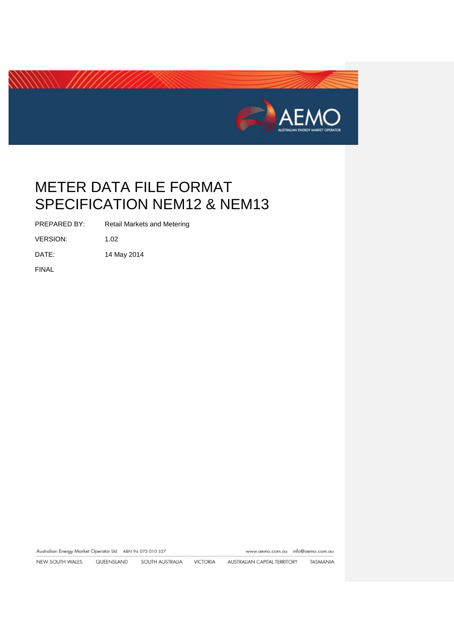

PREPARED BY: Retail Markets and Metering

VERSION: 1.02

DATE: 14 May 2014

FINAL

Australian Energy Market Operator Ltd ABN 94 072 010 327 www.aemo.com.au info@aemo.com.au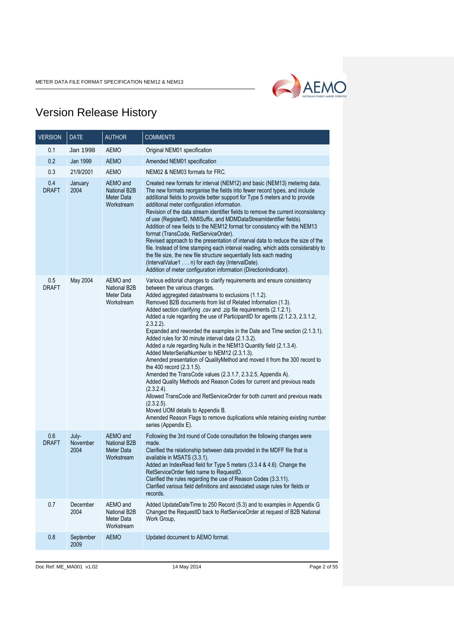

# Version Release History

| <b>VERSION</b>      | <b>DATE</b>               | <b>AUTHOR</b>                                               | <b>COMMENTS</b>                                                                                                                                                                                                                                                                                                                                                                                                                                                                                                                                                                                                                                                                                                                                                                                                                                                                                                                                                                                                                                                                                                                                                           |  |
|---------------------|---------------------------|-------------------------------------------------------------|---------------------------------------------------------------------------------------------------------------------------------------------------------------------------------------------------------------------------------------------------------------------------------------------------------------------------------------------------------------------------------------------------------------------------------------------------------------------------------------------------------------------------------------------------------------------------------------------------------------------------------------------------------------------------------------------------------------------------------------------------------------------------------------------------------------------------------------------------------------------------------------------------------------------------------------------------------------------------------------------------------------------------------------------------------------------------------------------------------------------------------------------------------------------------|--|
| 0.1                 | Jan 1998                  | AEMO                                                        | Original NEM01 specification                                                                                                                                                                                                                                                                                                                                                                                                                                                                                                                                                                                                                                                                                                                                                                                                                                                                                                                                                                                                                                                                                                                                              |  |
| 0.2                 | Jan 1999                  | <b>AEMO</b>                                                 | Amended NEM01 specification                                                                                                                                                                                                                                                                                                                                                                                                                                                                                                                                                                                                                                                                                                                                                                                                                                                                                                                                                                                                                                                                                                                                               |  |
| 0.3                 | 21/9/2001                 | <b>AEMO</b>                                                 | NEM02 & NEM03 formats for FRC.                                                                                                                                                                                                                                                                                                                                                                                                                                                                                                                                                                                                                                                                                                                                                                                                                                                                                                                                                                                                                                                                                                                                            |  |
| 0.4<br><b>DRAFT</b> | January<br>2004           | AEMO and<br>National B2B<br>Meter Data<br>Workstream        | Created new formats for interval (NEM12) and basic (NEM13) metering data.<br>The new formats reorganise the fields into fewer record types, and include<br>additional fields to provide better support for Type 5 meters and to provide<br>additional meter configuration information.<br>Revision of the data stream identifier fields to remove the current inconsistency<br>of use (RegisterID, NMISuffix, and MDMDataStreamIdentifier fields).<br>Addition of new fields to the NEM12 format for consistency with the NEM13<br>format (TransCode, RetServiceOrder).<br>Revised approach to the presentation of interval data to reduce the size of the<br>file. Instead of time stamping each interval reading, which adds considerably to<br>the file size, the new file structure sequentially lists each reading<br>(IntervalValue1 n) for each day (IntervalDate).<br>Addition of meter configuration information (DirectionIndicator).                                                                                                                                                                                                                           |  |
| 0.5<br><b>DRAFT</b> | May 2004                  | AEMO and<br>National B2B<br>Meter Data<br>Workstream        | Various editorial changes to clarify requirements and ensure consistency<br>between the various changes.<br>Added aggregated datastreams to exclusions (1.1.2).<br>Removed B2B documents from list of Related Information (1.3).<br>Added section clarifying .csv and .zip file requirements (2.1.2.1).<br>Added a rule regarding the use of ParticipantID for agents (2.1.2.3, 2.3.1.2,<br>$2.3.2.2$ ).<br>Expanded and reworded the examples in the Date and Time section (2.1.3.1).<br>Added rules for 30 minute interval data (2.1.3.2).<br>Added a rule regarding Nulls in the NEM13 Quantity field (2.1.3.4).<br>Added MeterSerialNumber to NEM12 (2.3.1.3).<br>Amended presentation of QualityMethod and moved it from the 300 record to<br>the 400 record (2.3.1.5).<br>Amended the TransCode values (2.3.1.7, 2.3.2.5, Appendix A).<br>Added Quality Methods and Reason Codes for current and previous reads<br>(2.3.2.4).<br>Allowed TransCode and RetServiceOrder for both current and previous reads<br>(2.3.2.5).<br>Moved UOM details to Appendix B.<br>Amended Reason Flags to remove duplications while retaining existing number<br>series (Appendix E). |  |
| 0.6<br><b>DRAFT</b> | July-<br>November<br>2004 | AEMO and<br>National B2B<br>Meter Data<br>Workstream        | Following the 3rd round of Code consultation the following changes were<br>made.<br>Clarified the relationship between data provided in the MDFF file that is<br>available in MSATS (3.3.1).<br>Added an IndexRead field for Type 5 meters (3.3.4 & 4.6). Change the<br>RetServiceOrder field name to RequestID.<br>Clarified the rules regarding the use of Reason Codes (3.3.11).<br>Clarified various field definitions and associated usage rules for fields or<br>records.                                                                                                                                                                                                                                                                                                                                                                                                                                                                                                                                                                                                                                                                                           |  |
| 0.7                 | December<br>2004          | AEMO and<br><b>National B2B</b><br>Meter Data<br>Workstream | Added UpdateDateTime to 250 Record (5.3) and to examples in Appendix G<br>Changed the RequestID back to RetServiceOrder at request of B2B National<br>Work Group.                                                                                                                                                                                                                                                                                                                                                                                                                                                                                                                                                                                                                                                                                                                                                                                                                                                                                                                                                                                                         |  |
| 0.8                 | September<br>2009         | <b>AEMO</b>                                                 | Updated document to AEMO format.                                                                                                                                                                                                                                                                                                                                                                                                                                                                                                                                                                                                                                                                                                                                                                                                                                                                                                                                                                                                                                                                                                                                          |  |

Doc Ref: ME\_MA001 v1.02 14 May 2014 Page 2 of 55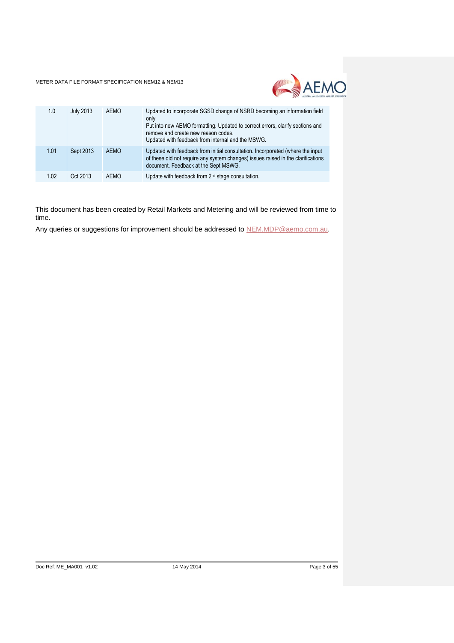

| 1.0  | July 2013 | <b>AEMO</b> | Updated to incorporate SGSD change of NSRD becoming an information field<br>only<br>Put into new AEMO formatting. Updated to correct errors, clarify sections and<br>remove and create new reason codes.<br>Updated with feedback from internal and the MSWG. |
|------|-----------|-------------|---------------------------------------------------------------------------------------------------------------------------------------------------------------------------------------------------------------------------------------------------------------|
| 1.01 | Sept 2013 | <b>AEMO</b> | Updated with feedback from initial consultation. Incorporated (where the input<br>of these did not require any system changes) issues raised in the clarifications<br>document. Feedback at the Sept MSWG.                                                    |
| 1.02 | Oct 2013  | <b>AEMO</b> | Update with feedback from 2 <sup>nd</sup> stage consultation.                                                                                                                                                                                                 |

This document has been created by Retail Markets and Metering and will be reviewed from time to time.

Any queries or suggestions for improvement should be addressed to [NEM.MDP@aemo.com.au.](mailto:NEM.MDP@aemo.com.au)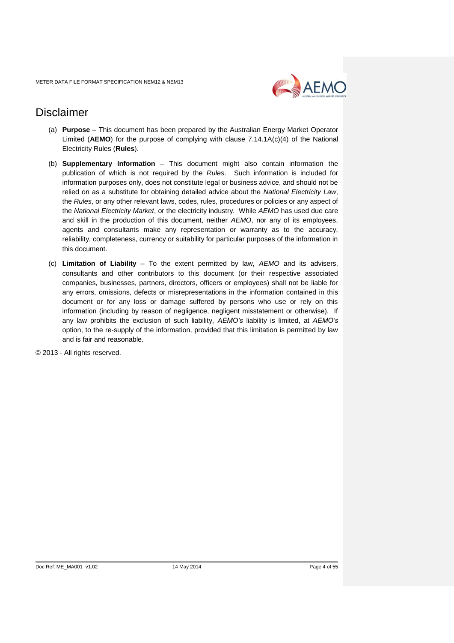

# Disclaimer

- (a) **Purpose** This document has been prepared by the Australian Energy Market Operator Limited (**AEMO**) for the purpose of complying with clause 7.14.1A(c)(4) of the National Electricity Rules (**Rules**).
- (b) **Supplementary Information** This document might also contain information the publication of which is not required by the *Rules*. Such information is included for information purposes only, does not constitute legal or business advice, and should not be relied on as a substitute for obtaining detailed advice about the *National Electricity Law*, the *Rules*, or any other relevant laws, codes, rules, procedures or policies or any aspect of the *National Electricity Market*, or the electricity industry. While *AEMO* has used due care and skill in the production of this document, neither *AEMO*, nor any of its employees, agents and consultants make any representation or warranty as to the accuracy, reliability, completeness, currency or suitability for particular purposes of the information in this document.
- (c) **Limitation of Liability** To the extent permitted by law, *AEMO* and its advisers, consultants and other contributors to this document (or their respective associated companies, businesses, partners, directors, officers or employees) shall not be liable for any errors, omissions, defects or misrepresentations in the information contained in this document or for any loss or damage suffered by persons who use or rely on this information (including by reason of negligence, negligent misstatement or otherwise). If any law prohibits the exclusion of such liability, *AEMO's* liability is limited, at *AEMO's* option, to the re-supply of the information, provided that this limitation is permitted by law and is fair and reasonable.

© 2013 - All rights reserved.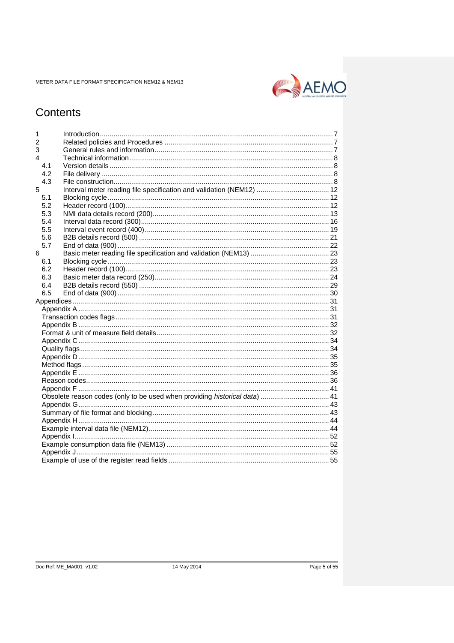

# Contents

| 1              |     |                                                                            |  |
|----------------|-----|----------------------------------------------------------------------------|--|
| $\overline{2}$ |     |                                                                            |  |
| 3              |     |                                                                            |  |
| 4              |     |                                                                            |  |
|                | 4.1 |                                                                            |  |
|                | 4.2 |                                                                            |  |
|                | 4.3 |                                                                            |  |
| 5              |     | Interval meter reading file specification and validation (NEM12)  12       |  |
|                | 5.1 |                                                                            |  |
|                | 5.2 |                                                                            |  |
|                | 5.3 |                                                                            |  |
|                | 5.4 |                                                                            |  |
|                | 5.5 |                                                                            |  |
|                | 5.6 |                                                                            |  |
|                | 5.7 |                                                                            |  |
| 6              |     |                                                                            |  |
|                | 6.1 |                                                                            |  |
|                | 6.2 |                                                                            |  |
|                | 6.3 |                                                                            |  |
|                | 6.4 |                                                                            |  |
|                | 6.5 |                                                                            |  |
|                |     |                                                                            |  |
|                |     |                                                                            |  |
|                |     |                                                                            |  |
|                |     |                                                                            |  |
|                |     |                                                                            |  |
|                |     |                                                                            |  |
|                |     |                                                                            |  |
|                |     |                                                                            |  |
|                |     |                                                                            |  |
|                |     |                                                                            |  |
|                |     |                                                                            |  |
|                |     |                                                                            |  |
|                |     | Obsolete reason codes (only to be used when providing historical data)  41 |  |
|                |     |                                                                            |  |
|                |     |                                                                            |  |
|                |     |                                                                            |  |
|                |     |                                                                            |  |
|                |     |                                                                            |  |
|                |     |                                                                            |  |
|                |     |                                                                            |  |
|                |     |                                                                            |  |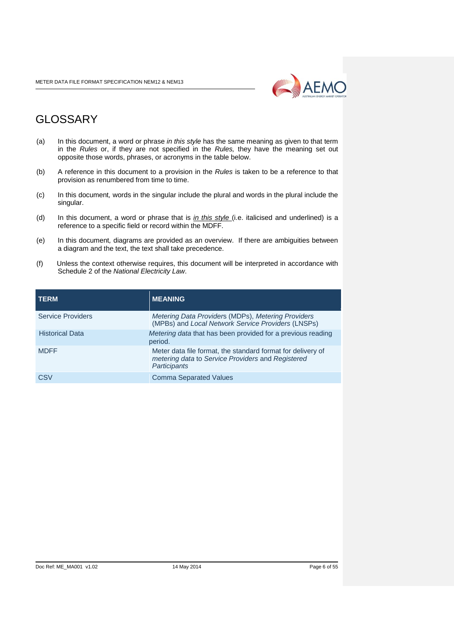

# GLOSSARY

- (a) In this document, a word or phrase *in this style* has the same meaning as given to that term in the *Rules* or, if they are not specified in the *Rules,* they have the meaning set out opposite those words, phrases, or acronyms in the table below.
- (b) A reference in this document to a provision in the *Rules* is taken to be a reference to that provision as renumbered from time to time.
- (c) In this document*,* words in the singular include the plural and words in the plural include the singular.
- (d) In this document, a word or phrase that is *in this style* (i.e. italicised and underlined) is a reference to a specific field or record within the MDFF.
- (e) In this document*,* diagrams are provided as an overview. If there are ambiguities between a diagram and the text, the text shall take precedence.
- (f) Unless the context otherwise requires, this document will be interpreted in accordance with Schedule 2 of the *National Electricity Law*.

| <b>TERM</b>              | <b>MEANING</b>                                                                                                                   |
|--------------------------|----------------------------------------------------------------------------------------------------------------------------------|
| <b>Service Providers</b> | Metering Data Providers (MDPs), Metering Providers<br>(MPBs) and Local Network Service Providers (LNSPs)                         |
| <b>Historical Data</b>   | Metering data that has been provided for a previous reading<br>period.                                                           |
| <b>MDFF</b>              | Meter data file format, the standard format for delivery of<br>metering data to Service Providers and Registered<br>Participants |
| CSV                      | <b>Comma Separated Values</b>                                                                                                    |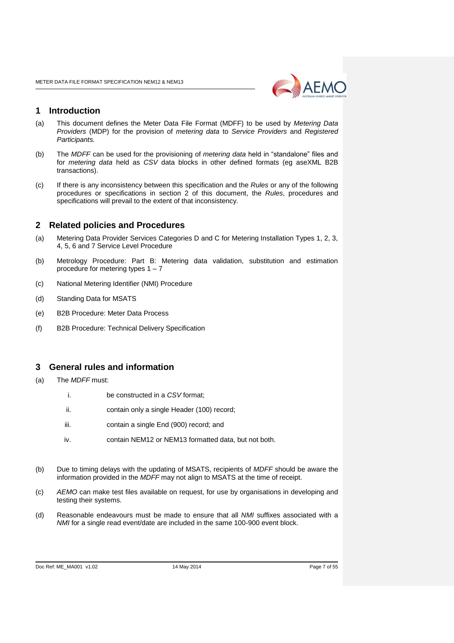

## <span id="page-6-0"></span>**1 Introduction**

- (a) This document defines the Meter Data File Format (MDFF) to be used by *Metering Data Providers* (MDP) for the provision of *metering data* to *Service Providers* and *Registered Participants.*
- (b) The *MDFF* can be used for the provisioning of *metering data* held in "standalone" files and for *metering data* held as *CSV* data blocks in other defined formats (eg aseXML B2B transactions).
- (c) If there is any inconsistency between this specification and the *Rules* or any of the following procedures or specifications in section 2 of this document, the *Rules*, procedures and specifications will prevail to the extent of that inconsistency.

## <span id="page-6-1"></span>**2 Related policies and Procedures**

- (a) Metering Data Provider Services Categories D and C for Metering Installation Types 1, 2, 3, 4, 5, 6 and 7 Service Level Procedure
- (b) Metrology Procedure: Part B: Metering data validation, substitution and estimation procedure for metering types 1 – 7
- (c) National Metering Identifier (NMI) Procedure
- (d) Standing Data for MSATS
- (e) B2B Procedure: Meter Data Process
- (f) B2B Procedure: Technical Delivery Specification

## <span id="page-6-2"></span>**3 General rules and information**

- (a) The *MDFF* must:
	- i. be constructed in a *CSV* format;
	- ii. contain only a single Header (100) record;
	- iii. contain a single End (900) record; and
	- iv. contain NEM12 or NEM13 formatted data, but not both.
- (b) Due to timing delays with the updating of MSATS, recipients of *MDFF* should be aware the information provided in the *MDFF* may not align to MSATS at the time of receipt.
- (c) *AEMO* can make test files available on request, for use by organisations in developing and testing their systems.
- (d) Reasonable endeavours must be made to ensure that all *NMI* suffixes associated with a *NMI* for a single read event/date are included in the same 100-900 event block.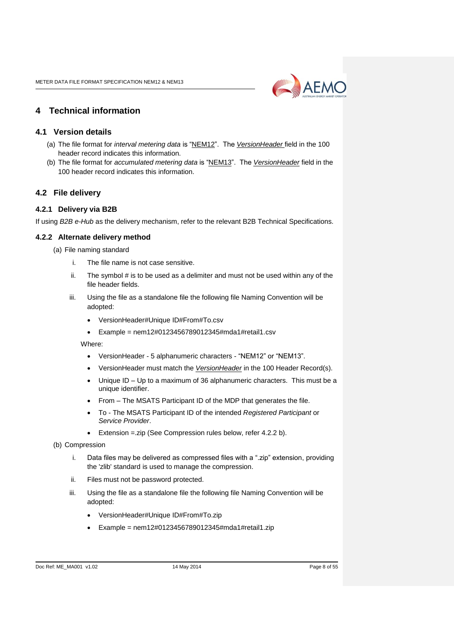

# <span id="page-7-0"></span>**4 Technical information**

## <span id="page-7-1"></span>**4.1 Version details**

- (a) The file format for *interval metering data* is "NEM12". The *VersionHeader* field in the 100 header record indicates this information.
- (b) The file format for *accumulated metering data* is "NEM13". The *VersionHeader* field in the 100 header record indicates this information.

## <span id="page-7-2"></span>**4.2 File delivery**

## **4.2.1 Delivery via B2B**

If using *B2B e-Hub* as the delivery mechanism, refer to the relevant B2B Technical Specifications.

## **4.2.2 Alternate delivery method**

- (a) File naming standard
	- i. The file name is not case sensitive.
	- ii. The symbol # is to be used as a delimiter and must not be used within any of the file header fields.
	- iii. Using the file as a standalone file the following file Naming Convention will be adopted:
		- VersionHeader#Unique ID#From#To.csv
		- $\bullet$  Example = nem12#0123456789012345#mda1#retail1.csv

Where:

- VersionHeader 5 alphanumeric characters "NEM12" or "NEM13".
- VersionHeader must match the *VersionHeader* in the 100 Header Record(s).
- Unique ID Up to a maximum of 36 alphanumeric characters. This must be a unique identifier.
- From The MSATS Participant ID of the MDP that generates the file.
- To The MSATS Participant ID of the intended *Registered Participant* or *Service Provider*.
- Extension =.zip (See Compression rules below, refer 4.2.2 b).
- (b) Compression
	- i. Data files may be delivered as compressed files with a ".zip" extension, providing the 'zlib' standard is used to manage the compression.
	- ii. Files must not be password protected.
	- iii. Using the file as a standalone file the following file Naming Convention will be adopted:
		- VersionHeader#Unique ID#From#To.zip
		- $\bullet$  Example = nem12#0123456789012345#mda1#retail1.zip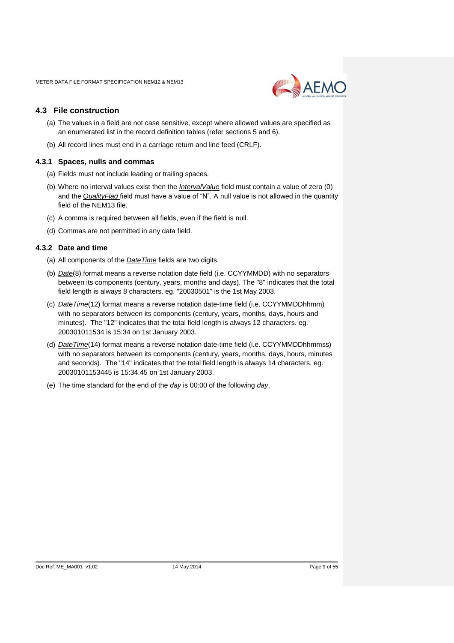

### <span id="page-8-0"></span>**4.3 File construction**

- (a) The values in a field are not case sensitive, except where allowed values are specified as an enumerated list in the record definition tables (refer sections 5 and 6).
- (b) All record lines must end in a carriage return and line feed (CRLF).

#### **4.3.1 Spaces, nulls and commas**

- (a) Fields must not include leading or trailing spaces.
- (b) Where no interval values exist then the *IntervalValue* field must contain a value of zero (0) and the *QualityFlag* field must have a value of "N". A null value is not allowed in the quantity field of the NEM13 file.
- (c) A comma is required between all fields, even if the field is null.
- (d) Commas are not permitted in any data field.

#### **4.3.2 Date and time**

- (a) All components of the *DateTime* fields are two digits.
- (b) *Date*(8) format means a reverse notation date field (i.e. CCYYMMDD) with no separators between its components (century, years, months and days). The "8" indicates that the total field length is always 8 characters. eg. "20030501" is the 1st May 2003.
- (c) *DateTime*(12) format means a reverse notation date-time field (i.e. CCYYMMDDhhmm) with no separators between its components (century, years, months, days, hours and minutes). The "12" indicates that the total field length is always 12 characters. eg. 200301011534 is 15:34 on 1st January 2003.
- (d) *DateTime*(14) format means a reverse notation date-time field (i.e. CCYYMMDDhhmmss) with no separators between its components (century, years, months, days, hours, minutes and seconds). The "14" indicates that the total field length is always 14 characters. eg. 20030101153445 is 15:34.45 on 1st January 2003.
- (e) The time standard for the end of the *day* is 00:00 of the following *day*.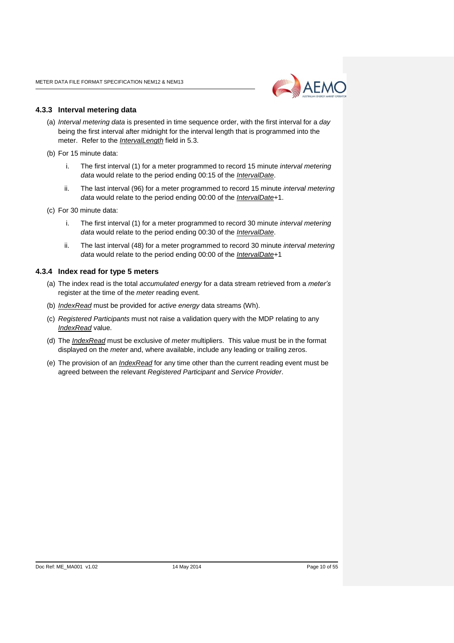

### **4.3.3 Interval metering data**

- (a) *Interval metering data* is presented in time sequence order, with the first interval for a *day* being the first interval after midnight for the interval length that is programmed into the meter. Refer to the *IntervalLength* field in 5.3.
- (b) For 15 minute data:
	- i. The first interval (1) for a meter programmed to record 15 minute *interval metering data* would relate to the period ending 00:15 of the *IntervalDate*.
	- ii. The last interval (96) for a meter programmed to record 15 minute *interval metering data* would relate to the period ending 00:00 of the *IntervalDate*+1.
- (c) For 30 minute data:
	- i. The first interval (1) for a meter programmed to record 30 minute *interval metering data* would relate to the period ending 00:30 of the *IntervalDate*.
	- ii. The last interval (48) for a meter programmed to record 30 minute *interval metering data* would relate to the period ending 00:00 of the *IntervalDate*+1

### **4.3.4 Index read for type 5 meters**

- (a) The index read is the total *accumulated energy* for a data stream retrieved from a *meter's* register at the time of the *meter* reading event.
- (b) *IndexRead* must be provided for *active energy* data streams (Wh).
- (c) *Registered Participants* must not raise a validation query with the MDP relating to any *IndexRead* value.
- (d) The *IndexRead* must be exclusive of *meter* multipliers. This value must be in the format displayed on the *meter* and, where available, include any leading or trailing zeros.
- (e) The provision of an *IndexRead* for any time other than the current reading event must be agreed between the relevant *Registered Participant* and *Service Provider*.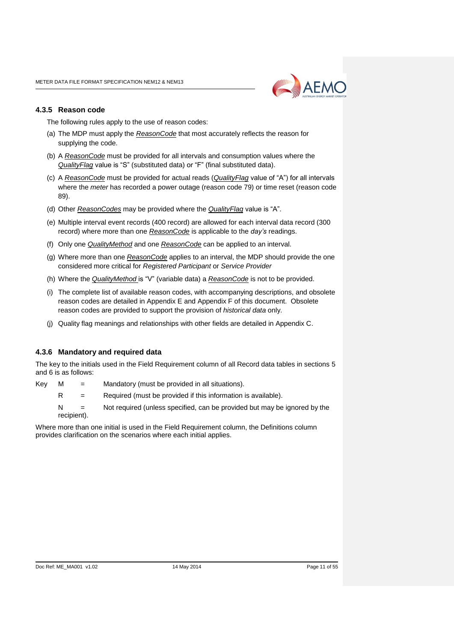

#### **4.3.5 Reason code**

The following rules apply to the use of reason codes:

- (a) The MDP must apply the *ReasonCode* that most accurately reflects the reason for supplying the code.
- (b) A *ReasonCode* must be provided for all intervals and consumption values where the *QualityFlag* value is "S" (substituted data) or "F" (final substituted data).
- (c) A *ReasonCode* must be provided for actual reads (*QualityFlag* value of "A") for all intervals where the *meter* has recorded a power outage (reason code 79) or time reset (reason code 89).
- (d) Other *ReasonCodes* may be provided where the *QualityFlag* value is "A".
- (e) Multiple interval event records (400 record) are allowed for each interval data record (300 record) where more than one *ReasonCode* is applicable to the *day's* readings.
- (f) Only one *QualityMethod* and one *ReasonCode* can be applied to an interval.
- (g) Where more than one *ReasonCode* applies to an interval, the MDP should provide the one considered more critical for *Registered Participant* or *Service Provider*
- (h) Where the *QualityMethod* is "V" (variable data) a *ReasonCode* is not to be provided.
- (i) The complete list of available reason codes, with accompanying descriptions, and obsolete reason codes are detailed in Appendix E and Appendix F of this document. Obsolete reason codes are provided to support the provision of *historical data* only.
- (j) Quality flag meanings and relationships with other fields are detailed in Appendix C.

#### **4.3.6 Mandatory and required data**

The key to the initials used in the Field Requirement column of all Record data tables in sections 5 and 6 is as follows:

- $Key \t M =$  Mandatory (must be provided in all situations).
	- $R =$  Required (must be provided if this information is available).
		- $N =$  Not required (unless specified, can be provided but may be ignored by the recipient).

Where more than one initial is used in the Field Requirement column, the Definitions column provides clarification on the scenarios where each initial applies.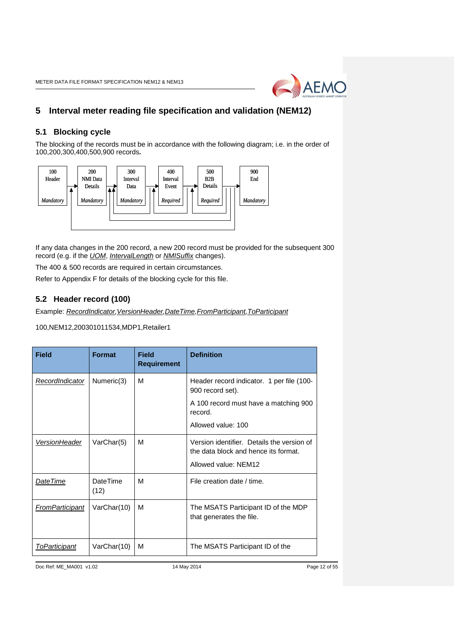

# <span id="page-11-0"></span>**5 Interval meter reading file specification and validation (NEM12)**

## <span id="page-11-1"></span>**5.1 Blocking cycle**

The blocking of the records must be in accordance with the following diagram; i.e. in the order of 100,200,300,400,500,900 records*.* 



If any data changes in the 200 record, a new 200 record must be provided for the subsequent 300 record (e.g. if the *UOM*, *IntervalLength* or *NMISuffix* changes).

The 400 & 500 records are required in certain circumstances.

Refer to Appendix F for details of the blocking cycle for this file.

## <span id="page-11-2"></span>**5.2 Header record (100)**

Example: *RecordIndicator, VersionHeader, DateTime, FromParticipant, ToParticipant* 

#### 100,NEM12,200301011534,MDP1,Retailer1

| <b>Field</b>    | <b>Format</b>           | <b>Field</b><br><b>Requirement</b> | <b>Definition</b>                                                                                          |  |
|-----------------|-------------------------|------------------------------------|------------------------------------------------------------------------------------------------------------|--|
| RecordIndicator | Numeric(3)              | м                                  | Header record indicator. 1 per file (100-<br>900 record set).                                              |  |
|                 |                         |                                    | A 100 record must have a matching 900<br>record.                                                           |  |
|                 |                         |                                    | Allowed value: 100                                                                                         |  |
| VersionHeader   | VarChar(5)              | м                                  | Version identifier. Details the version of<br>the data block and hence its format.<br>Allowed value: NEM12 |  |
| DateTime        | <b>DateTime</b><br>(12) | м                                  | File creation date / time.                                                                                 |  |
| FromParticipant | VarChar(10)             | м                                  | The MSATS Participant ID of the MDP<br>that generates the file.                                            |  |
| ToParticipant   | VarChar(10)             | М                                  | The MSATS Participant ID of the                                                                            |  |

Doc Ref: ME\_MA001 v1.02 14 May 2014 Page 12 of 55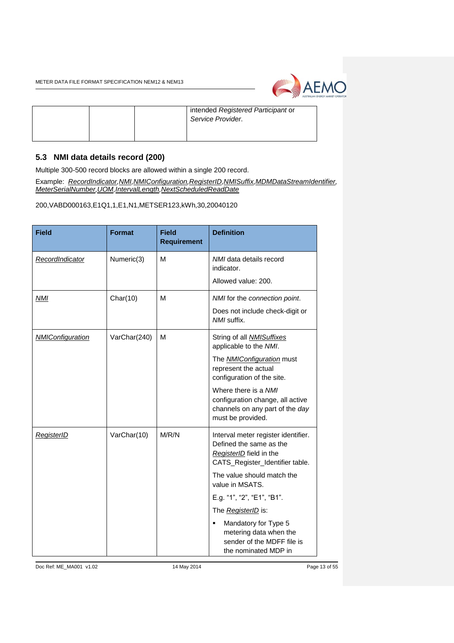

|  | intended Registered Participant or<br>Service Provider. |
|--|---------------------------------------------------------|
|--|---------------------------------------------------------|

# <span id="page-12-0"></span>**5.3 NMI data details record (200)**

Multiple 300-500 record blocks are allowed within a single 200 record.

Example: *RecordIndicator,NMI,NMIConfiguration,RegisterID,NMISuffix,MDMDataStreamIdentifier, MeterSerialNumber,UOM,IntervalLength,NextScheduledReadDate*

200,VABD000163,E1Q1,1,E1,N1,METSER123,kWh,30,20040120

| <b>Field</b>            | <b>Format</b> | <b>Field</b><br><b>Requirement</b> | <b>Definition</b>                                                                                                            |
|-------------------------|---------------|------------------------------------|------------------------------------------------------------------------------------------------------------------------------|
| RecordIndicator         | Numeric(3)    | М                                  | NMI data details record<br>indicator.                                                                                        |
|                         |               |                                    | Allowed value: 200.                                                                                                          |
| NMI                     | Char(10)      | М                                  | NMI for the connection point.                                                                                                |
|                         |               |                                    | Does not include check-digit or<br>NMI suffix.                                                                               |
| <b>NMIConfiguration</b> | VarChar(240)  | М                                  | String of all <b>NMISuffixes</b><br>applicable to the NMI.                                                                   |
|                         |               |                                    | The <b>NMIConfiguration</b> must<br>represent the actual<br>configuration of the site.                                       |
|                         |               |                                    | Where there is a NMI<br>configuration change, all active<br>channels on any part of the day<br>must be provided.             |
| <b>RegisterID</b>       | VarChar(10)   | M/R/N                              | Interval meter register identifier.<br>Defined the same as the<br>RegisterID field in the<br>CATS_Register_Identifier table. |
|                         |               |                                    | The value should match the<br>value in MSATS.                                                                                |
|                         |               |                                    | E.g. "1", "2", "E1", "B1".                                                                                                   |
|                         |               |                                    | The <i>RegisterID</i> is:                                                                                                    |
|                         |               |                                    | Mandatory for Type 5<br>٠<br>metering data when the<br>sender of the MDFF file is<br>the nominated MDP in                    |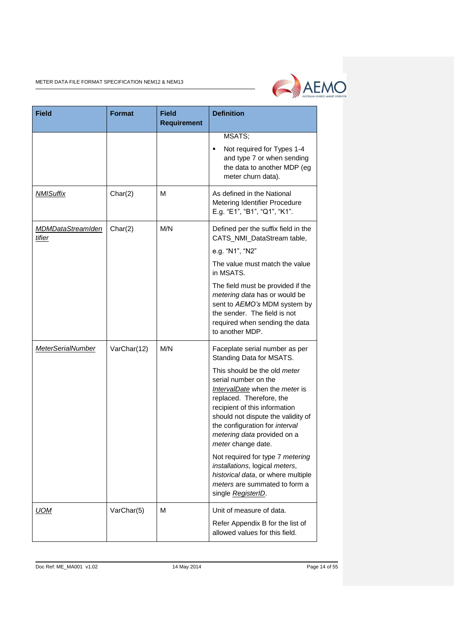

| <b>Field</b>                       | <b>Format</b> | <b>Field</b><br><b>Requirement</b> | <b>Definition</b>                                                                                                                                                                                                                                                                |
|------------------------------------|---------------|------------------------------------|----------------------------------------------------------------------------------------------------------------------------------------------------------------------------------------------------------------------------------------------------------------------------------|
|                                    |               |                                    | MSATS;                                                                                                                                                                                                                                                                           |
|                                    |               |                                    | Not required for Types 1-4<br>٠<br>and type 7 or when sending<br>the data to another MDP (eg<br>meter churn data).                                                                                                                                                               |
| <b>NMISuffix</b>                   | Char(2)       | М                                  | As defined in the National<br>Metering Identifier Procedure<br>E.g. "E1", "B1", "Q1", "K1".                                                                                                                                                                                      |
| <b>MDMDataStreamIden</b><br>tifier | Char(2)       | M/N                                | Defined per the suffix field in the<br>CATS_NMI_DataStream table,                                                                                                                                                                                                                |
|                                    |               |                                    | e.g. "N1", "N2"                                                                                                                                                                                                                                                                  |
|                                    |               |                                    | The value must match the value<br>in MSATS.                                                                                                                                                                                                                                      |
|                                    |               |                                    | The field must be provided if the<br>metering data has or would be<br>sent to AEMO's MDM system by<br>the sender. The field is not<br>required when sending the data<br>to another MDP.                                                                                          |
| <b>MeterSerialNumber</b>           | VarChar(12)   | M/N                                | Faceplate serial number as per<br>Standing Data for MSATS.                                                                                                                                                                                                                       |
|                                    |               |                                    | This should be the old meter<br>serial number on the<br>IntervalDate when the meter is<br>replaced. Therefore, the<br>recipient of this information<br>should not dispute the validity of<br>the configuration for interval<br>metering data provided on a<br>meter change date. |
|                                    |               |                                    | Not required for type 7 metering<br>installations, logical meters,<br>historical data, or where multiple<br>meters are summated to form a<br>single RegisterID.                                                                                                                  |
| <b>UOM</b>                         | VarChar(5)    | м                                  | Unit of measure of data.                                                                                                                                                                                                                                                         |
|                                    |               |                                    | Refer Appendix B for the list of<br>allowed values for this field.                                                                                                                                                                                                               |

Doc Ref: ME\_MA001 v1.02 14 May 2014 14 May 2014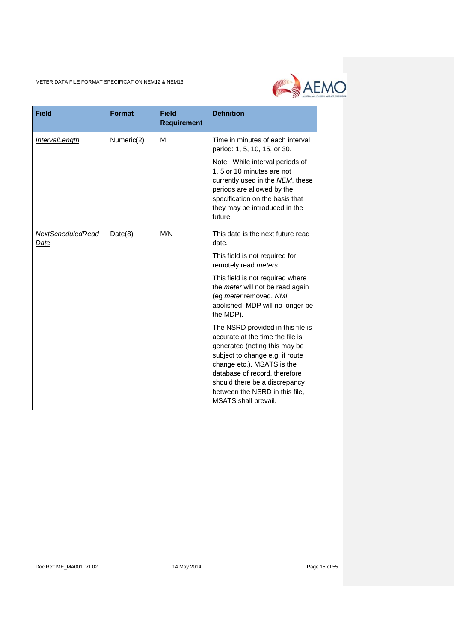

| <b>Field</b>                     | <b>Format</b> | <b>Field</b><br><b>Requirement</b> | <b>Definition</b>                                                                                                                                                                                                                                                                                   |
|----------------------------------|---------------|------------------------------------|-----------------------------------------------------------------------------------------------------------------------------------------------------------------------------------------------------------------------------------------------------------------------------------------------------|
| <b>IntervalLength</b>            | Numeric(2)    | M                                  | Time in minutes of each interval<br>period: 1, 5, 10, 15, or 30.                                                                                                                                                                                                                                    |
|                                  |               |                                    | Note: While interval periods of<br>1, 5 or 10 minutes are not<br>currently used in the NEM, these<br>periods are allowed by the<br>specification on the basis that<br>they may be introduced in the<br>future.                                                                                      |
| <b>NextScheduledRead</b><br>Date | Date(8)       | M/N                                | This date is the next future read<br>date.                                                                                                                                                                                                                                                          |
|                                  |               |                                    | This field is not required for<br>remotely read meters.                                                                                                                                                                                                                                             |
|                                  |               |                                    | This field is not required where<br>the meter will not be read again<br>(eg meter removed, NMI<br>abolished, MDP will no longer be<br>the MDP).                                                                                                                                                     |
|                                  |               |                                    | The NSRD provided in this file is<br>accurate at the time the file is<br>generated (noting this may be<br>subject to change e.g. if route<br>change etc.). MSATS is the<br>database of record, therefore<br>should there be a discrepancy<br>between the NSRD in this file,<br>MSATS shall prevail. |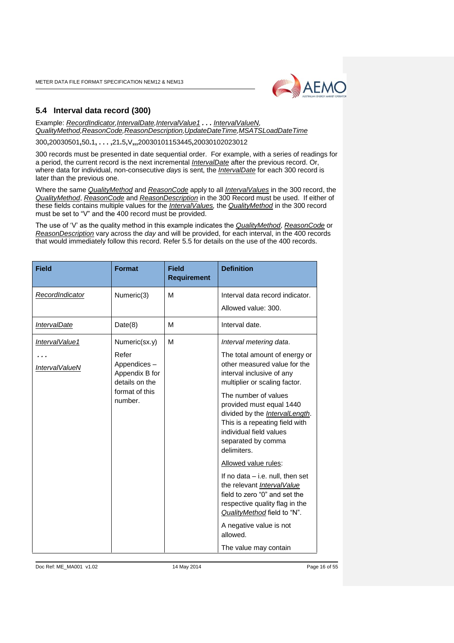

# <span id="page-15-0"></span>**5.4 Interval data record (300)**

Example: *RecordIndicator,IntervalDate,IntervalValue1 . . . IntervalValueN, QualityMethod,ReasonCode,ReasonDescription,UpdateDateTime,MSATSLoadDateTime*

300**,**20030501**,**50**.**1**, . . . ,**21**.**5**,**V**,,,**20030101153445**,**20030102023012

300 records must be presented in date sequential order. For example, with a series of readings for a period, the current record is the next incremental *IntervalDate* after the previous record. Or, where data for individual, non-consecutive *days* is sent, the *IntervalDate* for each 300 record is later than the previous one.

Where the same *QualityMethod* and *ReasonCode* apply to all *IntervalValues* in the 300 record, the *QualityMethod*, *ReasonCode* and *ReasonDescription* in the 300 Record must be used. If either of these fields contains multiple values for the *IntervalValues,* the *QualityMethod* in the 300 record must be set to "V" and the 400 record must be provided.

The use of 'V' as the quality method in this example indicates the *QualityMethod*, *ReasonCode* or *ReasonDescription* vary across the *day* and will be provided, for each interval, in the 400 records that would immediately follow this record. Refer 5.5 for details on the use of the 400 records.

| Numeric(3)<br>м<br>RecordIndicator<br>Date(8)<br>М<br><b>IntervalDate</b><br>Numeric(sx.y)<br>м<br>IntervalValue1 | Interval data record indicator.<br>Allowed value: 300.<br>Interval date.<br>Interval metering data.<br>The total amount of energy or                                                                                                                                                                                                                                                                                                                                                                                                           |
|-------------------------------------------------------------------------------------------------------------------|------------------------------------------------------------------------------------------------------------------------------------------------------------------------------------------------------------------------------------------------------------------------------------------------------------------------------------------------------------------------------------------------------------------------------------------------------------------------------------------------------------------------------------------------|
|                                                                                                                   |                                                                                                                                                                                                                                                                                                                                                                                                                                                                                                                                                |
|                                                                                                                   |                                                                                                                                                                                                                                                                                                                                                                                                                                                                                                                                                |
|                                                                                                                   |                                                                                                                                                                                                                                                                                                                                                                                                                                                                                                                                                |
| Refer<br>Appendices-<br><b>IntervalValueN</b><br>Appendix B for<br>details on the<br>format of this<br>number.    | other measured value for the<br>interval inclusive of any<br>multiplier or scaling factor.<br>The number of values<br>provided must equal 1440<br>divided by the IntervalLength.<br>This is a repeating field with<br>individual field values<br>separated by comma<br>delimiters.<br>Allowed value rules:<br>If no data – i.e. null, then set<br>the relevant IntervalValue<br>field to zero "0" and set the<br>respective quality flag in the<br>QualityMethod field to "N".<br>A negative value is not<br>allowed.<br>The value may contain |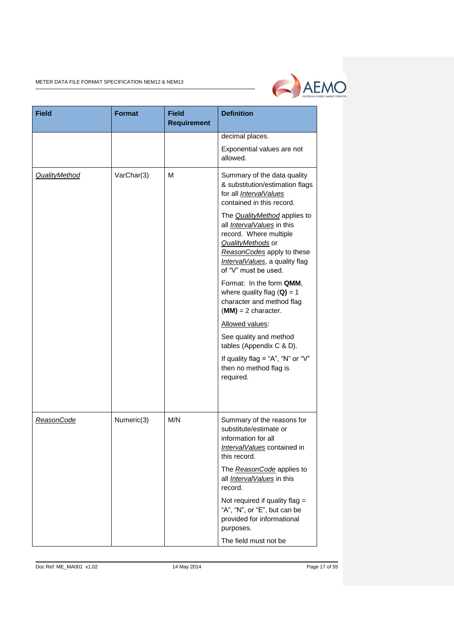

| <b>Field</b>         | <b>Format</b> | <b>Field</b><br><b>Requirement</b> | <b>Definition</b>                                                                                                                                                                                                |
|----------------------|---------------|------------------------------------|------------------------------------------------------------------------------------------------------------------------------------------------------------------------------------------------------------------|
|                      |               |                                    | decimal places.                                                                                                                                                                                                  |
|                      |               |                                    | Exponential values are not<br>allowed.                                                                                                                                                                           |
| <b>QualityMethod</b> | VarChar(3)    | м                                  | Summary of the data quality<br>& substitution/estimation flags<br>for all IntervalValues<br>contained in this record.                                                                                            |
|                      |               |                                    | The <b>QualityMethod</b> applies to<br>all <i>IntervalValues</i> in this<br>record. Where multiple<br>QualityMethods or<br>ReasonCodes apply to these<br>Interval Values, a quality flag<br>of "V" must be used. |
|                      |               |                                    | Format: In the form QMM,<br>where quality flag $(Q) = 1$<br>character and method flag<br>$(MM) = 2$ character.                                                                                                   |
|                      |               |                                    | Allowed values:                                                                                                                                                                                                  |
|                      |               |                                    | See quality and method<br>tables (Appendix C & D).                                                                                                                                                               |
|                      |               |                                    | If quality flag = "A", "N" or " $V$ "<br>then no method flag is<br>required.                                                                                                                                     |
|                      |               |                                    |                                                                                                                                                                                                                  |
| ReasonCode           | Numeric(3)    | M/N                                | Summary of the reasons for<br>substitute/estimate or<br>information for all<br>IntervalValues contained in<br>this record.                                                                                       |
|                      |               |                                    | The ReasonCode applies to<br>all IntervalValues in this<br>record.                                                                                                                                               |
|                      |               |                                    | Not required if quality flag $=$<br>"A", "N", or "E", but can be<br>provided for informational<br>purposes.                                                                                                      |
|                      |               |                                    | The field must not be                                                                                                                                                                                            |

Doc Ref: ME\_MA001 v1.02 14 May 2014 14 May 2014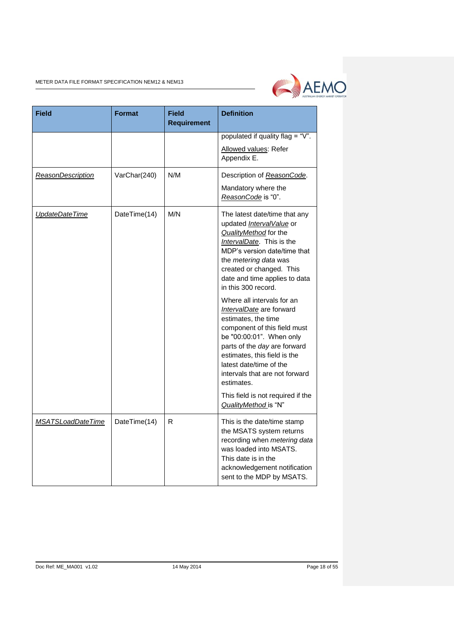

| <b>Field</b>      | Format       | <b>Field</b><br><b>Requirement</b> | <b>Definition</b>                                                                                                                                                                                                                                                                    |
|-------------------|--------------|------------------------------------|--------------------------------------------------------------------------------------------------------------------------------------------------------------------------------------------------------------------------------------------------------------------------------------|
|                   |              |                                    | populated if quality flag = "V".                                                                                                                                                                                                                                                     |
|                   |              |                                    | Allowed values: Refer<br>Appendix E.                                                                                                                                                                                                                                                 |
| ReasonDescription | VarChar(240) | N/M                                | Description of ReasonCode.                                                                                                                                                                                                                                                           |
|                   |              |                                    | Mandatory where the<br>ReasonCode is "0".                                                                                                                                                                                                                                            |
| UpdateDateTime    | DateTime(14) | M/N                                | The latest date/time that any<br>updated Interval Value or<br>QualityMethod for the<br>IntervalDate. This is the<br>MDP's version date/time that<br>the metering data was<br>created or changed. This<br>date and time applies to data<br>in this 300 record.                        |
|                   |              |                                    | Where all intervals for an<br>IntervalDate are forward<br>estimates, the time<br>component of this field must<br>be "00:00:01". When only<br>parts of the day are forward<br>estimates, this field is the<br>latest date/time of the<br>intervals that are not forward<br>estimates. |
|                   |              |                                    | This field is not required if the<br>QualityMethod is "N"                                                                                                                                                                                                                            |
| MSATSLoadDateTime | DateTime(14) | R                                  | This is the date/time stamp<br>the MSATS system returns<br>recording when metering data<br>was loaded into MSATS.<br>This date is in the<br>acknowledgement notification<br>sent to the MDP by MSATS.                                                                                |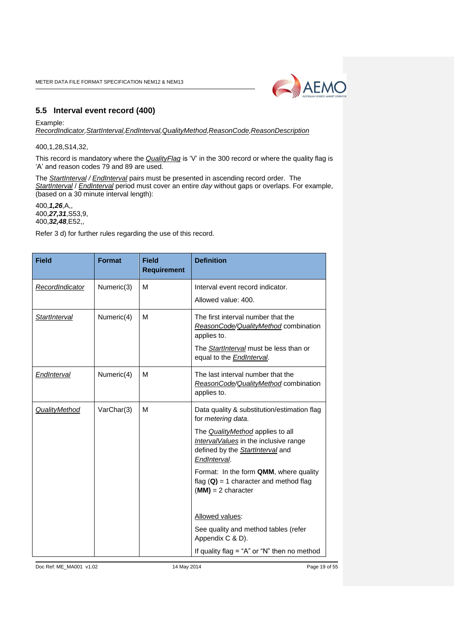

# <span id="page-18-0"></span>**5.5 Interval event record (400)**

Example: *RecordIndicator,StartInterval,EndInterval,QualityMethod,ReasonCode,ReasonDescription*

400,1,28,S14,32,

This record is mandatory where the *QualityFlag* is 'V' in the 300 record or where the quality flag is 'A' and reason codes 79 and 89 are used.

The *StartInterval / EndInterval* pairs must be presented in ascending record order. The *StartInterval* / *EndInterval* period must cover an entire *day* without gaps or overlaps. For example, (based on a 30 minute interval length):

400,*1,26*,A,, 400,*27,31*,S53,9, 400,*32,48*,E52,,

Refer 3 d) for further rules regarding the use of this record.

| <b>Field</b>         | <b>Format</b> | <b>Field</b><br><b>Requirement</b> | <b>Definition</b>                                                                                                                                                        |
|----------------------|---------------|------------------------------------|--------------------------------------------------------------------------------------------------------------------------------------------------------------------------|
| RecordIndicator      | Numeric(3)    | м                                  | Interval event record indicator.                                                                                                                                         |
|                      |               |                                    | Allowed value: 400.                                                                                                                                                      |
| StartInterval        | Numeric(4)    | м                                  | The first interval number that the<br>ReasonCode/QualityMethod combination<br>applies to.<br>The StartInterval must be less than or<br>equal to the <b>EndInterval</b> . |
| <b>EndInterval</b>   | Numeric(4)    | M                                  | The last interval number that the<br>ReasonCode/QualityMethod combination<br>applies to.                                                                                 |
| <b>QualityMethod</b> | VarChar(3)    | M                                  | Data quality & substitution/estimation flag<br>for metering data.                                                                                                        |
|                      |               |                                    | The <i>QualityMethod</i> applies to all<br>IntervalValues in the inclusive range<br>defined by the <b>StartInterval</b> and<br>EndInterval.                              |
|                      |               |                                    | Format: In the form QMM, where quality<br>flag $(Q) = 1$ character and method flag<br>$(MM) = 2$ character                                                               |
|                      |               |                                    | Allowed values:                                                                                                                                                          |
|                      |               |                                    | See quality and method tables (refer<br>Appendix C & D).                                                                                                                 |
|                      |               |                                    | If quality flag = "A" or "N" then no method                                                                                                                              |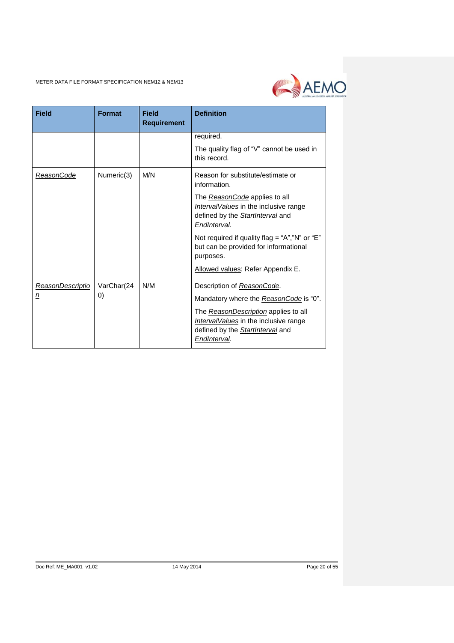

| <b>Field</b>          | <b>Format</b>                   | <b>Field</b><br><b>Requirement</b> | <b>Definition</b>                                                                                                                                                                                                 |
|-----------------------|---------------------------------|------------------------------------|-------------------------------------------------------------------------------------------------------------------------------------------------------------------------------------------------------------------|
|                       |                                 |                                    | required.                                                                                                                                                                                                         |
|                       |                                 |                                    | The quality flag of "V" cannot be used in<br>this record.                                                                                                                                                         |
| ReasonCode            | Numeric(3)                      | M/N                                | Reason for substitute/estimate or<br>information.                                                                                                                                                                 |
|                       |                                 |                                    | The <i>ReasonCode</i> applies to all<br>IntervalValues in the inclusive range<br>defined by the StartInterval and<br>EndInterval.                                                                                 |
|                       |                                 |                                    | Not required if quality flag = " $A$ ", "N" or "E"<br>but can be provided for informational<br>purposes.                                                                                                          |
|                       |                                 |                                    | Allowed values: Refer Appendix E.                                                                                                                                                                                 |
| ReasonDescriptio<br>n | VarChar(24<br>$\left( 0\right)$ | N/M                                | Description of ReasonCode.<br>Mandatory where the ReasonCode is "0".<br>The ReasonDescription applies to all<br>Interval Values in the inclusive range<br>defined by the <b>StartInterval</b> and<br>EndInterval. |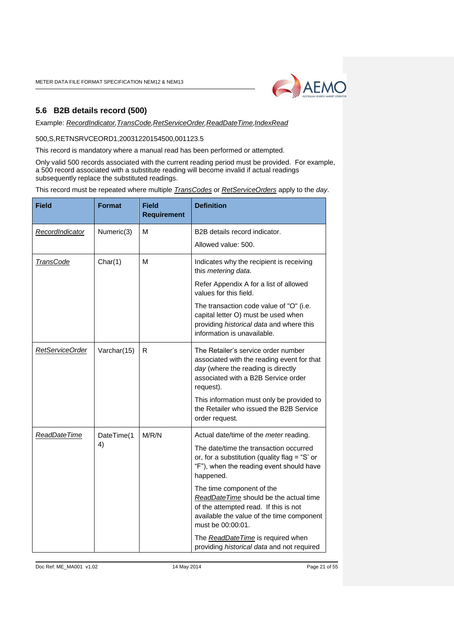

## <span id="page-20-0"></span>**5.6 B2B details record (500)**

Example: *RecordIndicator,TransCode,RetServiceOrder,ReadDateTime,IndexRead*

## 500,S,RETNSRVCEORD1,20031220154500,001123.5

This record is mandatory where a manual read has been performed or attempted.

Only valid 500 records associated with the current reading period must be provided. For example, a 500 record associated with a substitute reading will become invalid if actual readings subsequently replace the substituted readings.

This record must be repeated where multiple *TransCodes* or *RetServiceOrders* apply to the *day*.

| <b>Field</b>     | <b>Format</b> | <b>Field</b><br><b>Requirement</b> | <b>Definition</b>                                                                                                                                                              |
|------------------|---------------|------------------------------------|--------------------------------------------------------------------------------------------------------------------------------------------------------------------------------|
| RecordIndicator  | Numeric(3)    | M                                  | B2B details record indicator.                                                                                                                                                  |
|                  |               |                                    | Allowed value: 500.                                                                                                                                                            |
| <b>TransCode</b> | Char(1)       | M                                  | Indicates why the recipient is receiving<br>this metering data.                                                                                                                |
|                  |               |                                    | Refer Appendix A for a list of allowed<br>values for this field.                                                                                                               |
|                  |               |                                    | The transaction code value of "O" (i.e.<br>capital letter O) must be used when<br>providing historical data and where this<br>information is unavailable.                      |
| RetServiceOrder  | Varchar(15)   | R                                  | The Retailer's service order number<br>associated with the reading event for that<br>day (where the reading is directly<br>associated with a B2B Service order<br>request).    |
|                  |               |                                    | This information must only be provided to<br>the Retailer who issued the B2B Service<br>order request.                                                                         |
| ReadDateTime     | DateTime(1    | M/R/N                              | Actual date/time of the meter reading.                                                                                                                                         |
|                  | 4)            |                                    | The date/time the transaction occurred<br>or, for a substitution (quality flag = "S' or<br>"F"), when the reading event should have<br>happened.                               |
|                  |               |                                    | The time component of the<br>ReadDateTime should be the actual time<br>of the attempted read. If this is not<br>available the value of the time component<br>must be 00:00:01. |
|                  |               |                                    | The ReadDate Time is required when<br>providing historical data and not required                                                                                               |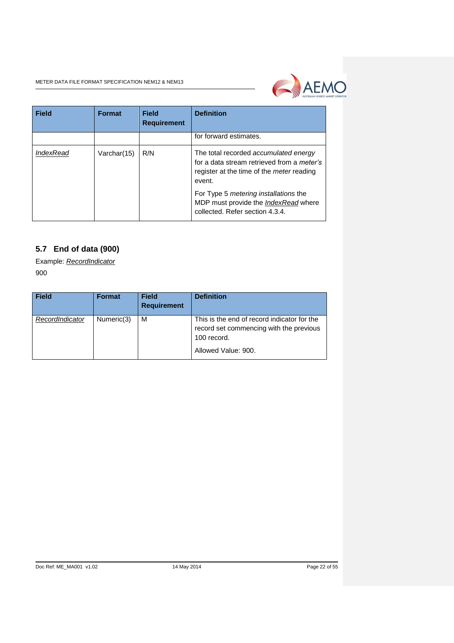

| <b>Field</b>     | <b>Format</b> | Field<br><b>Requirement</b> | <b>Definition</b>                                                                                                                                 |
|------------------|---------------|-----------------------------|---------------------------------------------------------------------------------------------------------------------------------------------------|
|                  |               |                             | for forward estimates.                                                                                                                            |
| <b>IndexRead</b> | Varchar(15)   | R/N                         | The total recorded accumulated energy<br>for a data stream retrieved from a meter's<br>register at the time of the <i>meter</i> reading<br>event. |
|                  |               |                             | For Type 5 metering installations the<br>MDP must provide the <i>IndexRead</i> where<br>collected. Refer section 4.3.4.                           |

# <span id="page-21-0"></span>**5.7 End of data (900)**

Example: *RecordIndicator* 900

| <b>Field</b>    | <b>Format</b> | <b>Field</b><br><b>Requirement</b> | <b>Definition</b>                                                                                     |
|-----------------|---------------|------------------------------------|-------------------------------------------------------------------------------------------------------|
| RecordIndicator | Numeric(3)    | M                                  | This is the end of record indicator for the<br>record set commencing with the previous<br>100 record. |
|                 |               |                                    | Allowed Value: 900.                                                                                   |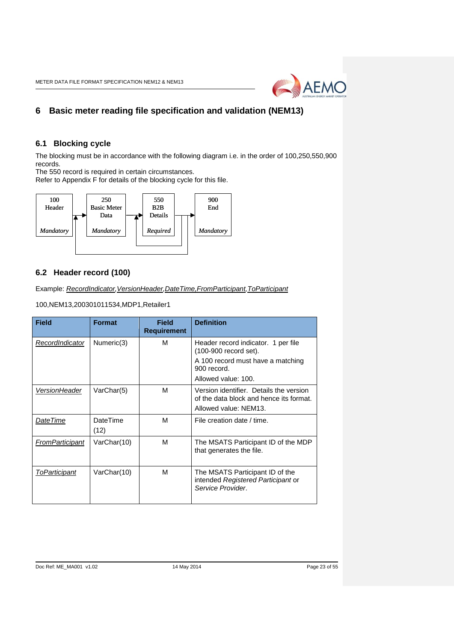

# <span id="page-22-0"></span>**6 Basic meter reading file specification and validation (NEM13)**

## <span id="page-22-1"></span>**6.1 Blocking cycle**

The blocking must be in accordance with the following diagram i.e. in the order of 100,250,550,900 records.

The 550 record is required in certain circumstances.

Refer to Appendix F for details of the blocking cycle for this file.



# <span id="page-22-2"></span>**6.2 Header record (100)**

Example: *RecordIndicator,VersionHeader,DateTime,FromParticipant,ToParticipant*

100,NEM13,200301011534,MDP1,Retailer1

| <b>Field</b>    | <b>Format</b>    | Field<br><b>Requirement</b> | <b>Definition</b>                                                                                           |
|-----------------|------------------|-----------------------------|-------------------------------------------------------------------------------------------------------------|
| RecordIndicator | Numeric(3)       | М                           | Header record indicator. 1 per file<br>(100-900 record set).                                                |
|                 |                  |                             | A 100 record must have a matching<br>900 record.                                                            |
|                 |                  |                             | Allowed value: 100.                                                                                         |
| VersionHeader   | VarChar(5)       | м                           | Version identifier. Details the version<br>of the data block and hence its format.<br>Allowed value: NEM13. |
| DateTime        | DateTime<br>(12) | м                           | File creation date / time.                                                                                  |
| FromParticipant | VarChar(10)      | М                           | The MSATS Participant ID of the MDP<br>that generates the file.                                             |
| ToParticipant   | VarChar(10)      | м                           | The MSATS Participant ID of the<br>intended Registered Participant or<br>Service Provider.                  |

#### Doc Ref: ME\_MA001 v1.02 14 May 2014 Page 23 of 55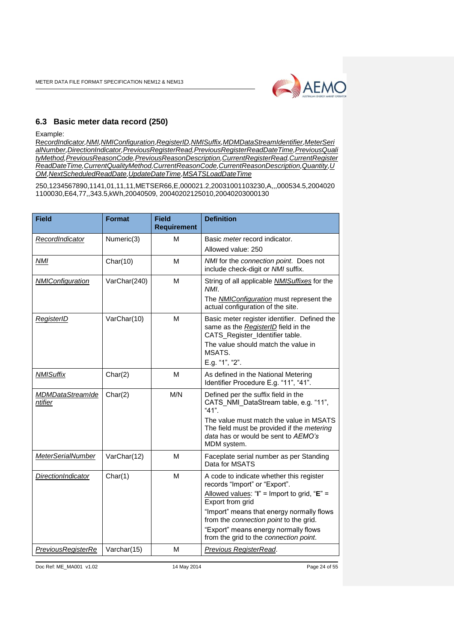

## <span id="page-23-0"></span>**6.3 Basic meter data record (250)**

Example:

R*ecordIndicator,NMI,NMIConfiguration,RegisterID,NMISuffix,MDMDataStreamIdentifier,MeterSeri alNumber,DirectionIndicator,PreviousRegisterRead,PreviousRegisterReadDateTime,PreviousQuali tyMethod,PreviousReasonCode,PreviousReasonDescription,CurrentRegisterRead,CurrentRegister ReadDateTime,CurrentQualityMethod,CurrentReasonCode,CurrentReasonDescription,Quantity,U OM,NextScheduledReadDate,UpdateDateTime,MSATSLoadDateTime*

250,1234567890,1141,01,11,11,METSER66,E,000021.2,20031001103230,A,,,000534.5,2004020 1100030,E64,77,,343.5,kWh,20040509, 20040202125010,20040203000130

| <b>Field</b>                       | <b>Format</b> | <b>Field</b><br><b>Requirement</b> | <b>Definition</b>                                                                                                                                                                         |
|------------------------------------|---------------|------------------------------------|-------------------------------------------------------------------------------------------------------------------------------------------------------------------------------------------|
| RecordIndicator                    | Numeric(3)    | м                                  | Basic <i>meter</i> record indicator.                                                                                                                                                      |
|                                    |               |                                    | Allowed value: 250                                                                                                                                                                        |
| <b>NMI</b>                         | Char(10)      | M                                  | NMI for the connection point. Does not<br>include check-digit or NMI suffix.                                                                                                              |
| <b>NMIConfiguration</b>            | VarChar(240)  | M                                  | String of all applicable <b>NMISuffixes</b> for the<br>NMI.                                                                                                                               |
|                                    |               |                                    | The <b>NMIConfiguration</b> must represent the<br>actual configuration of the site.                                                                                                       |
| <b>RegisterID</b>                  | VarChar(10)   | М                                  | Basic meter register identifier. Defined the<br>same as the RegisterID field in the<br>CATS_Register_Identifier table.<br>The value should match the value in<br>MSATS.<br>E.g. "1", "2". |
| <b>NMISuffix</b>                   | Char(2)       | М                                  | As defined in the National Metering<br>Identifier Procedure E.g. "11", "41".                                                                                                              |
| <b>MDMDataStreamIde</b><br>ntifier | Char(2)       | M/N                                | Defined per the suffix field in the<br>CATS NMI DataStream table, e.g. "11",<br>"41".                                                                                                     |
|                                    |               |                                    | The value must match the value in MSATS<br>The field must be provided if the metering<br>data has or would be sent to AEMO's<br>MDM system.                                               |
| MeterSerialNumber                  | VarChar(12)   | M                                  | Faceplate serial number as per Standing<br>Data for MSATS                                                                                                                                 |
| DirectionIndicator                 | Char(1)       | M                                  | A code to indicate whether this register<br>records "Import" or "Export".                                                                                                                 |
|                                    |               |                                    | Allowed values: "I" = Import to grid, " $E$ " =<br>Export from grid                                                                                                                       |
|                                    |               |                                    | "Import" means that energy normally flows<br>from the connection point to the grid.                                                                                                       |
|                                    |               |                                    | "Export" means energy normally flows<br>from the grid to the connection point.                                                                                                            |
| <b>PreviousRegisterRe</b>          | Varchar(15)   | м                                  | <b>Previous RegisterRead.</b>                                                                                                                                                             |

Doc Ref: ME\_MA001 v1.02 14 May 2014 Page 24 of 55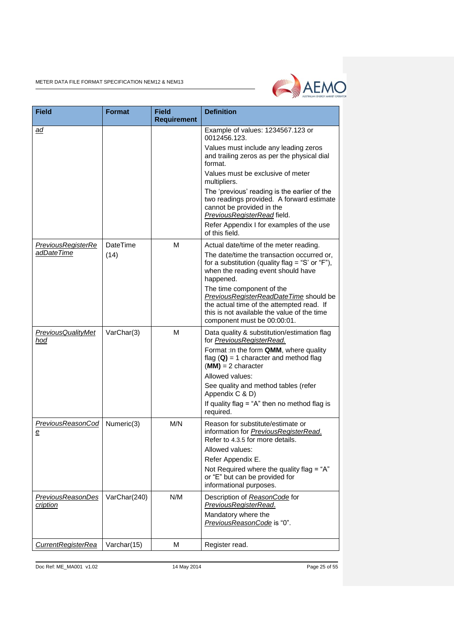

| <b>Field</b>                         | <b>Format</b> | <b>Field</b><br><b>Requirement</b> | <b>Definition</b>                                                                                                                                     |
|--------------------------------------|---------------|------------------------------------|-------------------------------------------------------------------------------------------------------------------------------------------------------|
| ad                                   |               |                                    | Example of values: 1234567.123 or<br>0012456.123.                                                                                                     |
|                                      |               |                                    | Values must include any leading zeros<br>and trailing zeros as per the physical dial<br>format.                                                       |
|                                      |               |                                    | Values must be exclusive of meter<br>multipliers.                                                                                                     |
|                                      |               |                                    | The 'previous' reading is the earlier of the<br>two readings provided. A forward estimate<br>cannot be provided in the<br>PreviousRegisterRead field. |
|                                      |               |                                    | Refer Appendix I for examples of the use<br>of this field.                                                                                            |
| <u>PreviousRegisterRe</u>            | DateTime      | м                                  | Actual date/time of the meter reading.                                                                                                                |
| adDateTime                           | (14)          |                                    | The date/time the transaction occurred or,<br>for a substitution (quality flag = "S' or "F"),<br>when the reading event should have<br>happened.      |
|                                      |               |                                    | The time component of the                                                                                                                             |
|                                      |               |                                    | PreviousRegisterReadDateTime should be<br>the actual time of the attempted read. If                                                                   |
|                                      |               |                                    | this is not available the value of the time<br>component must be 00:00:01.                                                                            |
| <b>PreviousQualityMet</b><br>hod     | VarChar(3)    | M                                  | Data quality & substitution/estimation flag<br>for PreviousRegisterRead.                                                                              |
|                                      |               |                                    | Format : In the form QMM, where quality<br>flag $(Q)$ = 1 character and method flag<br>$(MM) = 2$ character                                           |
|                                      |               |                                    | Allowed values:                                                                                                                                       |
|                                      |               |                                    | See quality and method tables (refer<br>Appendix C & D)                                                                                               |
|                                      |               |                                    | If quality flag = " $A$ " then no method flag is<br>required.                                                                                         |
| PreviousReasonCod<br>$\mathbf e$     | Numeric(3)    | M/N                                | Reason for substitute/estimate or<br>information for <b>PreviousRegisterRead</b> .<br>Refer to 4.3.5 for more details.                                |
|                                      |               |                                    | Allowed values:                                                                                                                                       |
|                                      |               |                                    | Refer Appendix E.<br>Not Required where the quality flag = "A"                                                                                        |
|                                      |               |                                    | or "E" but can be provided for<br>informational purposes.                                                                                             |
| <u>PreviousReasonDes</u><br>cription | VarChar(240)  | N/M                                | Description of ReasonCode for<br>PreviousRegisterRead.                                                                                                |
|                                      |               |                                    | Mandatory where the<br>PreviousReasonCode is "0".                                                                                                     |
| CurrentRegisterRea                   | Varchar(15)   | M                                  | Register read.                                                                                                                                        |

Doc Ref: ME\_MA001 v1.02 14 May 2014 14 May 2014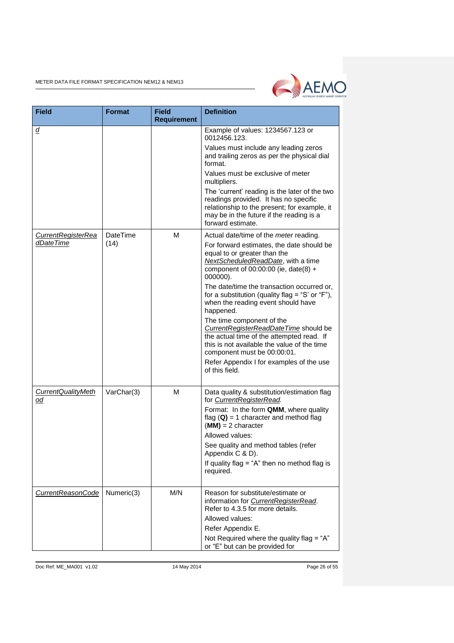

| <b>Field</b>                    | <b>Format</b>    | <b>Field</b><br><b>Requirement</b> | <b>Definition</b>                                                                                                                                                                                                                                                                                                                                                                                                                                                                                                                                                                                                                |
|---------------------------------|------------------|------------------------------------|----------------------------------------------------------------------------------------------------------------------------------------------------------------------------------------------------------------------------------------------------------------------------------------------------------------------------------------------------------------------------------------------------------------------------------------------------------------------------------------------------------------------------------------------------------------------------------------------------------------------------------|
| ₫                               |                  |                                    | Example of values: 1234567.123 or<br>0012456.123.<br>Values must include any leading zeros<br>and trailing zeros as per the physical dial<br>format.<br>Values must be exclusive of meter<br>multipliers.<br>The 'current' reading is the later of the two<br>readings provided. It has no specific<br>relationship to the present; for example, it<br>may be in the future if the reading is a<br>forward estimate.                                                                                                                                                                                                             |
| CurrentRegisterRea<br>dDateTime | DateTime<br>(14) | M                                  | Actual date/time of the meter reading.<br>For forward estimates, the date should be<br>equal to or greater than the<br>NextScheduledReadDate, with a time<br>component of 00:00:00 (ie, date(8) +<br>000000).<br>The date/time the transaction occurred or,<br>for a substitution (quality flag = "S' or "F"),<br>when the reading event should have<br>happened.<br>The time component of the<br>CurrentRegisterReadDateTime should be<br>the actual time of the attempted read. If<br>this is not available the value of the time<br>component must be 00:00:01.<br>Refer Appendix I for examples of the use<br>of this field. |
| CurrentQualityMeth<br>od        | VarChar(3)       | M                                  | Data quality & substitution/estimation flag<br>for CurrentRegisterRead.<br>Format: In the form QMM, where quality<br>flag $(Q) = 1$ character and method flag<br>$(MM) = 2$ character<br>Allowed values:<br>See quality and method tables (refer<br>Appendix C & D).<br>If quality flag = " $A$ " then no method flag is<br>required.                                                                                                                                                                                                                                                                                            |
| <b>CurrentReasonCode</b>        | Numeric(3)       | M/N                                | Reason for substitute/estimate or<br>information for CurrentRegisterRead.<br>Refer to 4.3.5 for more details.<br>Allowed values:<br>Refer Appendix E.<br>Not Required where the quality flag = "A"<br>or "E" but can be provided for                                                                                                                                                                                                                                                                                                                                                                                             |

Doc Ref: ME\_MA001 v1.02 14 May 2014 Page 26 of 55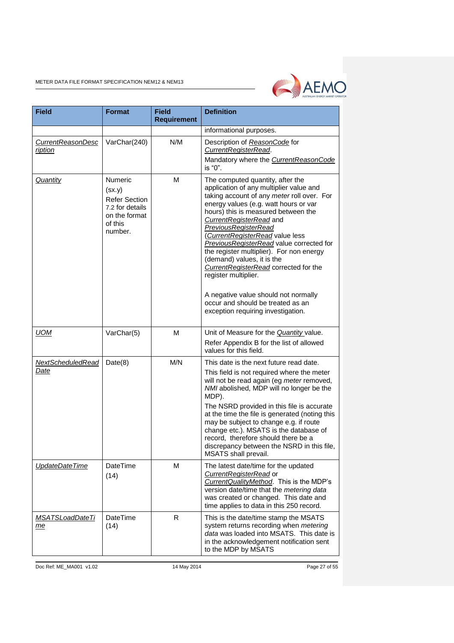

| <b>Field</b>                        | <b>Format</b>                                                                                              | <b>Field</b><br><b>Requirement</b> | <b>Definition</b>                                                                                                                                                                                                                                                                                                                                                                                                                                                                                        |
|-------------------------------------|------------------------------------------------------------------------------------------------------------|------------------------------------|----------------------------------------------------------------------------------------------------------------------------------------------------------------------------------------------------------------------------------------------------------------------------------------------------------------------------------------------------------------------------------------------------------------------------------------------------------------------------------------------------------|
|                                     |                                                                                                            |                                    | informational purposes.                                                                                                                                                                                                                                                                                                                                                                                                                                                                                  |
| <b>CurrentReasonDesc</b><br>ription | VarChar(240)                                                                                               | N/M                                | Description of ReasonCode for<br>CurrentRegisterRead.<br>Mandatory where the CurrentReasonCode                                                                                                                                                                                                                                                                                                                                                                                                           |
| Quantity                            | <b>Numeric</b><br>(sx.y)<br><b>Refer Section</b><br>7.2 for details<br>on the format<br>of this<br>number. | M                                  | is "0".<br>The computed quantity, after the<br>application of any multiplier value and<br>taking account of any meter roll over. For<br>energy values (e.g. watt hours or var<br>hours) this is measured between the<br>CurrentRegisterRead and<br><b>PreviousRegisterRead</b><br>(CurrentRegisterRead value less<br>PreviousRegisterRead value corrected for<br>the register multiplier). For non energy<br>(demand) values, it is the<br>CurrentRegisterRead corrected for the<br>register multiplier. |
|                                     |                                                                                                            |                                    | A negative value should not normally<br>occur and should be treated as an<br>exception requiring investigation.                                                                                                                                                                                                                                                                                                                                                                                          |
| <b>UOM</b>                          | VarChar(5)                                                                                                 | М                                  | Unit of Measure for the <b>Quantity</b> value.<br>Refer Appendix B for the list of allowed<br>values for this field.                                                                                                                                                                                                                                                                                                                                                                                     |
| NextScheduledRead<br>Date           | Date(8)                                                                                                    | M/N                                | This date is the next future read date.<br>This field is not required where the meter<br>will not be read again (eg meter removed,<br>NMI abolished, MDP will no longer be the<br>MDP).<br>The NSRD provided in this file is accurate<br>at the time the file is generated (noting this<br>may be subject to change e.g. if route<br>change etc.). MSATS is the database of<br>record, therefore should there be a<br>discrepancy between the NSRD in this file,<br>MSATS shall prevail.                 |
| UpdateDateTime                      | DateTime<br>(14)                                                                                           | М                                  | The latest date/time for the updated<br>CurrentRegisterRead or<br>CurrentQualityMethod. This is the MDP's<br>version date/time that the metering data<br>was created or changed. This date and<br>time applies to data in this 250 record.                                                                                                                                                                                                                                                               |
| <b>MSATSLoadDateTi</b><br>me        | DateTime<br>(14)                                                                                           | R.                                 | This is the date/time stamp the MSATS<br>system returns recording when metering<br>data was loaded into MSATS. This date is<br>in the acknowledgement notification sent<br>to the MDP by MSATS                                                                                                                                                                                                                                                                                                           |

Doc Ref: ME\_MA001 v1.02 14 May 2014 14 May 2014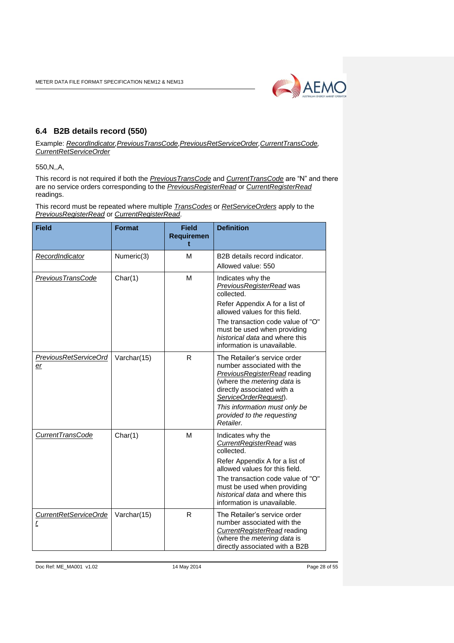

# <span id="page-27-0"></span>**6.4 B2B details record (550)**

Example: *RecordIndicator,PreviousTransCode,PreviousRetServiceOrder,CurrentTransCode, CurrentRetServiceOrder*

550,N,,A,

This record is not required if both the *PreviousTransCode* and *CurrentTransCode* are "N" and there are no service orders corresponding to the *PreviousRegisterRead* or *CurrentRegisterRead* readings.

This record must be repeated where multiple *TransCodes* or *RetServiceOrders* apply to the *PreviousRegisterRead* or *CurrentRegisterRead*.

| <b>Field</b>                | <b>Format</b> | <b>Field</b><br><b>Requiremen</b><br>t | <b>Definition</b>                                                                                                                                                                                                                                                           |
|-----------------------------|---------------|----------------------------------------|-----------------------------------------------------------------------------------------------------------------------------------------------------------------------------------------------------------------------------------------------------------------------------|
| RecordIndicator             | Numeric(3)    | м                                      | B2B details record indicator.<br>Allowed value: 550                                                                                                                                                                                                                         |
| PreviousTransCode           | Char(1)       | M                                      | Indicates why the<br><b>PreviousRegisterRead</b> was<br>collected.<br>Refer Appendix A for a list of<br>allowed values for this field.<br>The transaction code value of "O"<br>must be used when providing<br>historical data and where this<br>information is unavailable. |
| PreviousRetServiceOrd<br>er | Varchar(15)   | R                                      | The Retailer's service order<br>number associated with the<br>PreviousRegisterRead reading<br>(where the metering data is<br>directly associated with a<br>ServiceOrderRequest).<br>This information must only be<br>provided to the requesting<br>Retailer.                |
| <b>CurrentTransCode</b>     | Char(1)       | M                                      | Indicates why the<br>CurrentRegisterRead was<br>collected.<br>Refer Appendix A for a list of<br>allowed values for this field.<br>The transaction code value of "O"<br>must be used when providing<br>historical data and where this<br>information is unavailable.         |
| CurrentRetServiceOrde<br>r  | Varchar(15)   | R                                      | The Retailer's service order<br>number associated with the<br><b>CurrentRegisterRead reading</b><br>(where the metering data is<br>directly associated with a B2B                                                                                                           |

Doc Ref: ME\_MA001 v1.02 14 May 2014 Page 28 of 55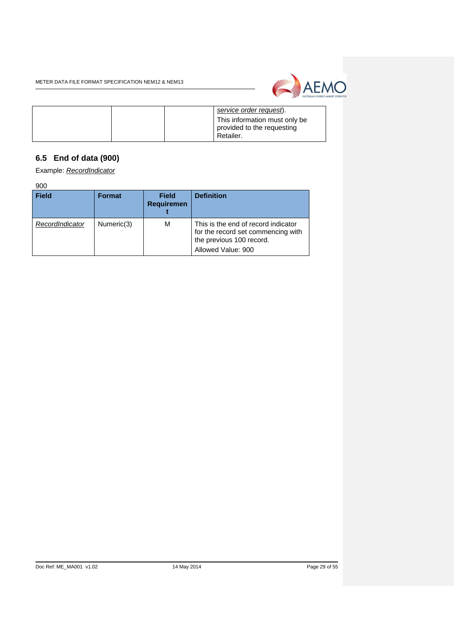

|  | service order request).                                                  |
|--|--------------------------------------------------------------------------|
|  | This information must only be<br>provided to the requesting<br>Retailer. |

# <span id="page-28-0"></span>**6.5 End of data (900)**

Example: *RecordIndicator*

900

| <b>Field</b>    | <b>Format</b> | <b>Field</b><br><b>Requiremen</b> | <b>Definition</b>                                                                                                           |
|-----------------|---------------|-----------------------------------|-----------------------------------------------------------------------------------------------------------------------------|
| RecordIndicator | Numeric(3)    | М                                 | This is the end of record indicator<br>for the record set commencing with<br>the previous 100 record.<br>Allowed Value: 900 |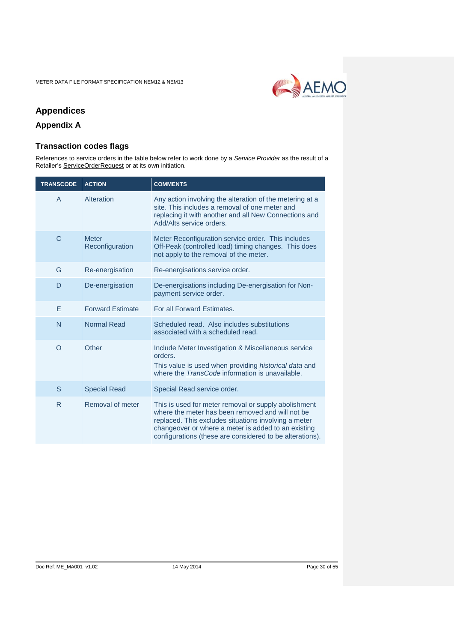

# <span id="page-29-0"></span>**Appendices**

# <span id="page-29-2"></span><span id="page-29-1"></span>**Appendix A**

# **Transaction codes flags**

References to service orders in the table below refer to work done by a *Service Provider* as the result of a Retailer's ServiceOrderRequest or at its own initiation.

| <b>TRANSCODE</b> | <b>ACTION</b>                   | <b>COMMENTS</b>                                                                                                                                                                                                                                                                     |
|------------------|---------------------------------|-------------------------------------------------------------------------------------------------------------------------------------------------------------------------------------------------------------------------------------------------------------------------------------|
| $\overline{A}$   | Alteration                      | Any action involving the alteration of the metering at a<br>site. This includes a removal of one meter and<br>replacing it with another and all New Connections and<br>Add/Alts service orders.                                                                                     |
| $\mathsf{C}$     | <b>Meter</b><br>Reconfiguration | Meter Reconfiguration service order. This includes<br>Off-Peak (controlled load) timing changes. This does<br>not apply to the removal of the meter.                                                                                                                                |
| G                | Re-energisation                 | Re-energisations service order.                                                                                                                                                                                                                                                     |
| D                | De-energisation                 | De-energisations including De-energisation for Non-<br>payment service order.                                                                                                                                                                                                       |
| E                | <b>Forward Estimate</b>         | For all Forward Estimates.                                                                                                                                                                                                                                                          |
| N                | <b>Normal Read</b>              | Scheduled read. Also includes substitutions<br>associated with a scheduled read.                                                                                                                                                                                                    |
| O                | Other                           | Include Meter Investigation & Miscellaneous service<br>orders.<br>This value is used when providing historical data and<br>where the <b>TransCode</b> information is unavailable.                                                                                                   |
| S                | <b>Special Read</b>             | Special Read service order.                                                                                                                                                                                                                                                         |
| R.               | Removal of meter                | This is used for meter removal or supply abolishment<br>where the meter has been removed and will not be<br>replaced. This excludes situations involving a meter<br>changeover or where a meter is added to an existing<br>configurations (these are considered to be alterations). |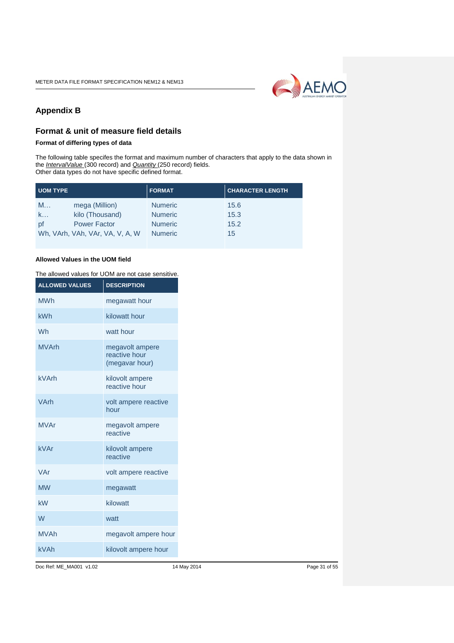

# <span id="page-30-0"></span>**Appendix B**

## <span id="page-30-1"></span>**Format & unit of measure field details**

**Format of differing types of data**

The following table specifes the format and maximum number of characters that apply to the data shown in the *IntervalValue* (300 record) and *Quantity* (250 record) fields. Other data types do not have specific defined format.

| <b>UOM TYPE</b>                 | <b>FORMAT</b>  | <b>CHARACTER LENGTH</b> |
|---------------------------------|----------------|-------------------------|
| mega (Million)<br>M             | <b>Numeric</b> | 15.6                    |
| kilo (Thousand)<br>k            | <b>Numeric</b> | 15.3                    |
| <b>Power Factor</b><br>рf       | <b>Numeric</b> | 15.2                    |
| Wh, VArh, VAh, VAr, VA, V, A, W | <b>Numeric</b> | 15                      |

#### **Allowed Values in the UOM field**

| The allowed values for UOM are not case sensitive. |                                                    |  |
|----------------------------------------------------|----------------------------------------------------|--|
| <b>ALLOWED VALUES</b>                              | <b>DESCRIPTION</b>                                 |  |
| <b>MWh</b>                                         | megawatt hour                                      |  |
| kWh                                                | kilowatt hour                                      |  |
| Wh                                                 | watt hour                                          |  |
| <b>MVArh</b>                                       | megavolt ampere<br>reactive hour<br>(megavar hour) |  |
| <b>kVArh</b>                                       | kilovolt ampere<br>reactive hour                   |  |
| VArh                                               | volt ampere reactive<br>hour                       |  |
| <b>MVAr</b>                                        | megavolt ampere<br>reactive                        |  |
| kVAr                                               | kilovolt ampere<br>reactive                        |  |
| VAr                                                | volt ampere reactive                               |  |
| <b>MW</b>                                          | megawatt                                           |  |
| kW                                                 | kilowatt                                           |  |
| W                                                  | watt                                               |  |
| <b>MVAh</b>                                        | megavolt ampere hour                               |  |
| <b>kVAh</b>                                        | kilovolt ampere hour                               |  |

Doc Ref: ME\_MA001 v1.02 14 May 2014 Page 31 of 55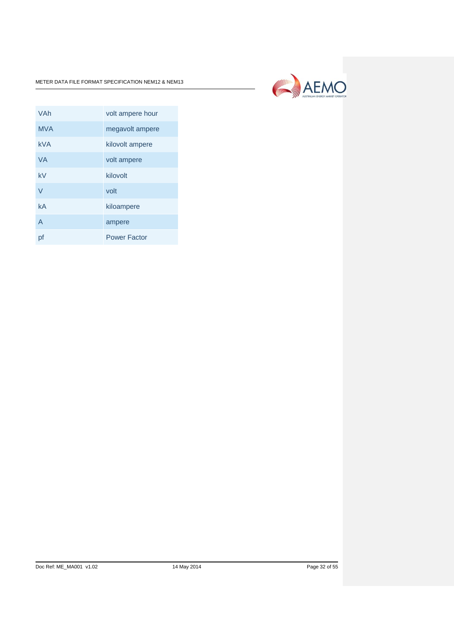

| VAh            | volt ampere hour    |
|----------------|---------------------|
| <b>MVA</b>     | megavolt ampere     |
| <b>kVA</b>     | kilovolt ampere     |
| <b>VA</b>      | volt ampere         |
| kV             | kilovolt            |
| $\vee$         | volt                |
| kA             | kiloampere          |
| $\overline{A}$ | ampere              |
| pf             | <b>Power Factor</b> |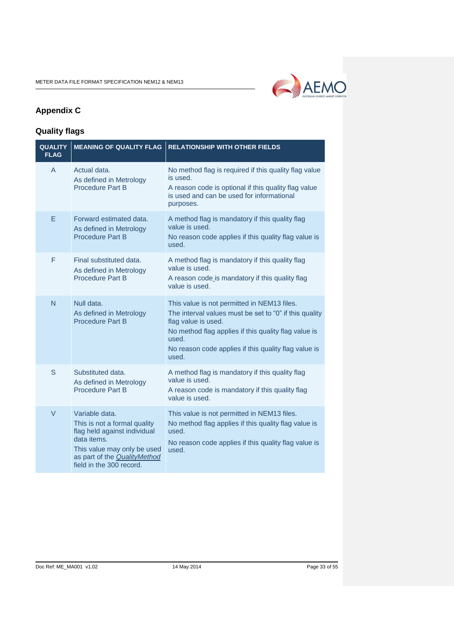

# <span id="page-32-0"></span>**Appendix C**

# <span id="page-32-1"></span>**Quality flags**

| <b>QUALITY</b><br><b>FLAG</b> | <b>MEANING OF QUALITY FLAG</b>                                                                                                                                                                  | <b>RELATIONSHIP WITH OTHER FIELDS</b>                                                                                                                                                                                                                          |
|-------------------------------|-------------------------------------------------------------------------------------------------------------------------------------------------------------------------------------------------|----------------------------------------------------------------------------------------------------------------------------------------------------------------------------------------------------------------------------------------------------------------|
| A                             | Actual data.<br>As defined in Metrology<br><b>Procedure Part B</b>                                                                                                                              | No method flag is required if this quality flag value<br>is used.<br>A reason code is optional if this quality flag value<br>is used and can be used for informational<br>purposes.                                                                            |
| E                             | Forward estimated data.<br>As defined in Metrology<br><b>Procedure Part B</b>                                                                                                                   | A method flag is mandatory if this quality flag<br>value is used.<br>No reason code applies if this quality flag value is<br>used.                                                                                                                             |
| F                             | Final substituted data.<br>As defined in Metrology<br><b>Procedure Part B</b>                                                                                                                   | A method flag is mandatory if this quality flag<br>value is used.<br>A reason code is mandatory if this quality flag<br>value is used.                                                                                                                         |
| N                             | Null data.<br>As defined in Metrology<br><b>Procedure Part B</b>                                                                                                                                | This value is not permitted in NEM13 files.<br>The interval values must be set to "0" if this quality<br>flag value is used.<br>No method flag applies if this quality flag value is<br>used.<br>No reason code applies if this quality flag value is<br>used. |
| S                             | Substituted data.<br>As defined in Metrology<br>Procedure Part B                                                                                                                                | A method flag is mandatory if this quality flag<br>value is used.<br>A reason code is mandatory if this quality flag<br>value is used.                                                                                                                         |
| $\vee$                        | Variable data.<br>This is not a formal quality<br>flag held against individual<br>data items.<br>This value may only be used<br>as part of the <b>QualityMethod</b><br>field in the 300 record. | This value is not permitted in NEM13 files.<br>No method flag applies if this quality flag value is<br>used.<br>No reason code applies if this quality flag value is<br>used.                                                                                  |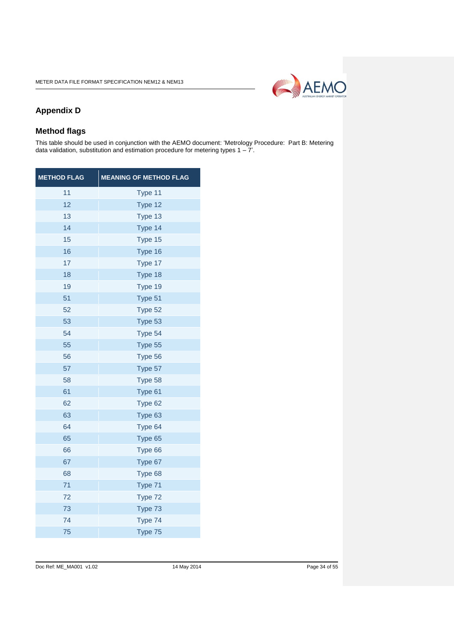

# <span id="page-33-0"></span>**Appendix D**

## <span id="page-33-1"></span>**Method flags**

This table should be used in conjunction with the AEMO document: 'Metrology Procedure: Part B: Metering data validation, substitution and estimation procedure for metering types 1 – 7'.

| <b>METHOD FLAG</b> | <b>MEANING OF METHOD FLAG</b> |
|--------------------|-------------------------------|
| 11                 | Type 11                       |
| 12                 | Type 12                       |
| 13                 | Type 13                       |
| 14                 | Type 14                       |
| 15                 | Type 15                       |
| 16                 | Type 16                       |
| 17                 | Type 17                       |
| 18                 | Type 18                       |
| 19                 | Type 19                       |
| 51                 | Type 51                       |
| 52                 | Type 52                       |
| 53                 | Type 53                       |
| 54                 | Type 54                       |
| 55                 | Type 55                       |
| 56                 | Type 56                       |
| 57                 | Type 57                       |
| 58                 | Type 58                       |
| 61                 | Type 61                       |
| 62                 | Type 62                       |
| 63                 | Type 63                       |
| 64                 | Type 64                       |
| 65                 | Type 65                       |
| 66                 | Type 66                       |
| 67                 | Type 67                       |
| 68                 | Type 68                       |
| 71                 | Type 71                       |
| 72                 | Type 72                       |
| 73                 | Type 73                       |
| 74                 | Type 74                       |
| 75                 | Type 75                       |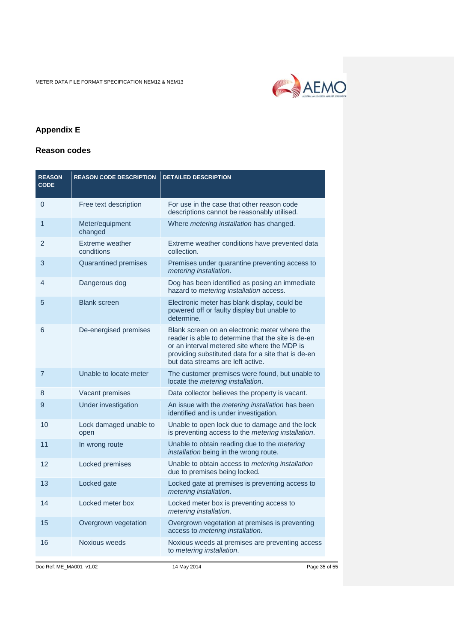

# <span id="page-34-0"></span>**Appendix E**

## <span id="page-34-1"></span>**Reason codes**

| <b>REASON CODE DESCRIPTION</b> | <b>DETAILED DESCRIPTION</b>                                                                                                                                                                                                                     |
|--------------------------------|-------------------------------------------------------------------------------------------------------------------------------------------------------------------------------------------------------------------------------------------------|
| Free text description          | For use in the case that other reason code<br>descriptions cannot be reasonably utilised.                                                                                                                                                       |
| Meter/equipment<br>changed     | Where metering installation has changed.                                                                                                                                                                                                        |
| Extreme weather<br>conditions  | Extreme weather conditions have prevented data<br>collection.                                                                                                                                                                                   |
| Quarantined premises           | Premises under quarantine preventing access to<br>metering installation.                                                                                                                                                                        |
| Dangerous dog                  | Dog has been identified as posing an immediate<br>hazard to metering installation access.                                                                                                                                                       |
| <b>Blank screen</b>            | Electronic meter has blank display, could be<br>powered off or faulty display but unable to<br>determine.                                                                                                                                       |
| De-energised premises          | Blank screen on an electronic meter where the<br>reader is able to determine that the site is de-en<br>or an interval metered site where the MDP is<br>providing substituted data for a site that is de-en<br>but data streams are left active. |
| Unable to locate meter         | The customer premises were found, but unable to<br>locate the metering installation.                                                                                                                                                            |
| Vacant premises                | Data collector believes the property is vacant.                                                                                                                                                                                                 |
| Under investigation            | An issue with the metering installation has been<br>identified and is under investigation.                                                                                                                                                      |
| Lock damaged unable to<br>open | Unable to open lock due to damage and the lock<br>is preventing access to the metering installation.                                                                                                                                            |
| In wrong route                 | Unable to obtain reading due to the metering<br>installation being in the wrong route.                                                                                                                                                          |
| Locked premises                | Unable to obtain access to metering installation<br>due to premises being locked.                                                                                                                                                               |
| Locked gate                    | Locked gate at premises is preventing access to<br>metering installation.                                                                                                                                                                       |
| Locked meter box               | Locked meter box is preventing access to<br>metering installation.                                                                                                                                                                              |
| Overgrown vegetation           | Overgrown vegetation at premises is preventing<br>access to metering installation.                                                                                                                                                              |
| Noxious weeds                  | Noxious weeds at premises are preventing access<br>to metering installation.                                                                                                                                                                    |
|                                |                                                                                                                                                                                                                                                 |

Doc Ref: ME\_MA001 v1.02 14 May 2014 14 May 2014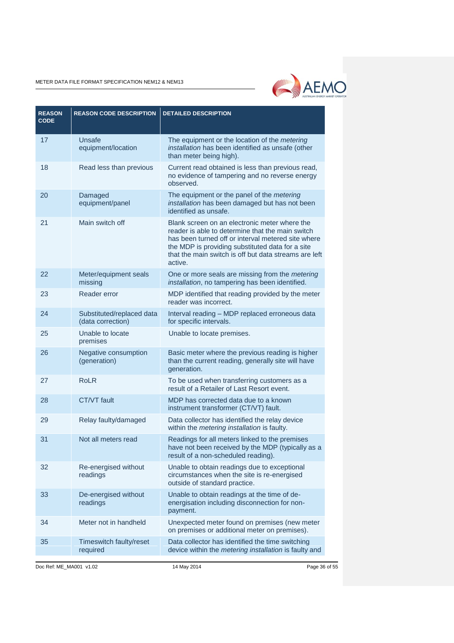

| <b>REASON</b><br><b>CODE</b> | <b>REASON CODE DESCRIPTION</b>                 | <b>DETAILED DESCRIPTION</b>                                                                                                                                                                                                                                                     |
|------------------------------|------------------------------------------------|---------------------------------------------------------------------------------------------------------------------------------------------------------------------------------------------------------------------------------------------------------------------------------|
| 17                           | Unsafe<br>equipment/location                   | The equipment or the location of the metering<br>installation has been identified as unsafe (other<br>than meter being high).                                                                                                                                                   |
| 18                           | Read less than previous                        | Current read obtained is less than previous read,<br>no evidence of tampering and no reverse energy<br>observed.                                                                                                                                                                |
| 20                           | Damaged<br>equipment/panel                     | The equipment or the panel of the metering<br>installation has been damaged but has not been<br>identified as unsafe.                                                                                                                                                           |
| 21                           | Main switch off                                | Blank screen on an electronic meter where the<br>reader is able to determine that the main switch<br>has been turned off or interval metered site where<br>the MDP is providing substituted data for a site<br>that the main switch is off but data streams are left<br>active. |
| 22                           | Meter/equipment seals<br>missing               | One or more seals are missing from the <i>metering</i><br>installation, no tampering has been identified.                                                                                                                                                                       |
| 23                           | Reader error                                   | MDP identified that reading provided by the meter<br>reader was incorrect.                                                                                                                                                                                                      |
| 24                           | Substituted/replaced data<br>(data correction) | Interval reading - MDP replaced erroneous data<br>for specific intervals.                                                                                                                                                                                                       |
| 25                           | Unable to locate<br>premises                   | Unable to locate premises.                                                                                                                                                                                                                                                      |
| 26                           | Negative consumption<br>(generation)           | Basic meter where the previous reading is higher<br>than the current reading, generally site will have<br>generation.                                                                                                                                                           |
| 27                           | <b>RoLR</b>                                    | To be used when transferring customers as a<br>result of a Retailer of Last Resort event.                                                                                                                                                                                       |
| 28                           | <b>CT/VT</b> fault                             | MDP has corrected data due to a known<br>instrument transformer (CT/VT) fault.                                                                                                                                                                                                  |
| 29                           | Relay faulty/damaged                           | Data collector has identified the relay device<br>within the metering installation is faulty.                                                                                                                                                                                   |
| 31                           | Not all meters read                            | Readings for all meters linked to the premises<br>have not been received by the MDP (typically as a<br>result of a non-scheduled reading).                                                                                                                                      |
| 32                           | Re-energised without<br>readings               | Unable to obtain readings due to exceptional<br>circumstances when the site is re-energised<br>outside of standard practice.                                                                                                                                                    |
| 33                           | De-energised without<br>readings               | Unable to obtain readings at the time of de-<br>energisation including disconnection for non-<br>payment.                                                                                                                                                                       |
| 34                           | Meter not in handheld                          | Unexpected meter found on premises (new meter<br>on premises or additional meter on premises).                                                                                                                                                                                  |
| 35                           | Timeswitch faulty/reset<br>required            | Data collector has identified the time switching<br>device within the metering installation is faulty and                                                                                                                                                                       |

Doc Ref: ME\_MA001 v1.02 14 May 2014 Page 36 of 55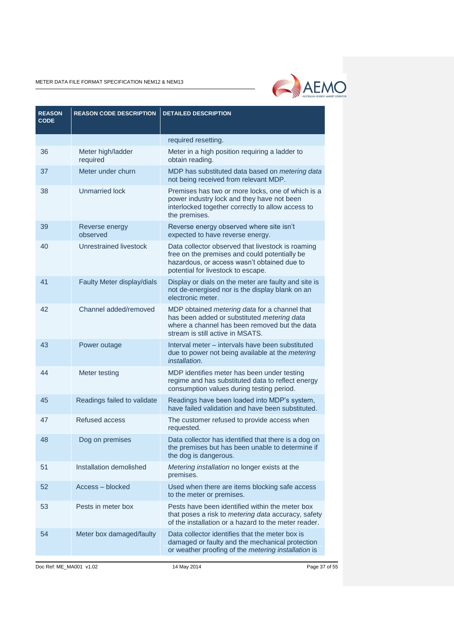

| <b>REASON</b><br><b>CODE</b> | <b>REASON CODE DESCRIPTION</b> | <b>DETAILED DESCRIPTION</b>                                                                                                                                                             |
|------------------------------|--------------------------------|-----------------------------------------------------------------------------------------------------------------------------------------------------------------------------------------|
|                              |                                | required resetting.                                                                                                                                                                     |
| 36                           | Meter high/ladder<br>required  | Meter in a high position requiring a ladder to<br>obtain reading.                                                                                                                       |
| 37                           | Meter under churn              | MDP has substituted data based on <i>metering data</i><br>not being received from relevant MDP.                                                                                         |
| 38                           | <b>Unmarried lock</b>          | Premises has two or more locks, one of which is a<br>power industry lock and they have not been<br>interlocked together correctly to allow access to<br>the premises.                   |
| 39                           | Reverse energy<br>observed     | Reverse energy observed where site isn't<br>expected to have reverse energy.                                                                                                            |
| 40                           | Unrestrained livestock         | Data collector observed that livestock is roaming<br>free on the premises and could potentially be<br>hazardous, or access wasn't obtained due to<br>potential for livestock to escape. |
| 41                           | Faulty Meter display/dials     | Display or dials on the meter are faulty and site is<br>not de-energised nor is the display blank on an<br>electronic meter.                                                            |
| 42                           | Channel added/removed          | MDP obtained metering data for a channel that<br>has been added or substituted metering data<br>where a channel has been removed but the data<br>stream is still active in MSATS.       |
| 43                           | Power outage                   | Interval meter – intervals have been substituted<br>due to power not being available at the metering<br>installation.                                                                   |
| 44                           | Meter testing                  | MDP identifies meter has been under testing<br>regime and has substituted data to reflect energy<br>consumption values during testing period.                                           |
| 45                           | Readings failed to validate    | Readings have been loaded into MDP's system,<br>have failed validation and have been substituted.                                                                                       |
| 47                           | <b>Refused access</b>          | The customer refused to provide access when<br>requested.                                                                                                                               |
| 48                           | Dog on premises                | Data collector has identified that there is a dog on<br>the premises but has been unable to determine if<br>the dog is dangerous.                                                       |
| 51                           | Installation demolished        | Metering installation no longer exists at the<br>premises.                                                                                                                              |
| 52                           | Access - blocked               | Used when there are items blocking safe access<br>to the meter or premises.                                                                                                             |
| 53                           | Pests in meter box             | Pests have been identified within the meter box<br>that poses a risk to metering data accuracy, safety<br>of the installation or a hazard to the meter reader.                          |
| 54                           | Meter box damaged/faulty       | Data collector identifies that the meter box is<br>damaged or faulty and the mechanical protection<br>or weather proofing of the metering installation is                               |

Doc Ref: ME\_MA001 v1.02 14 May 2014 14 May 2014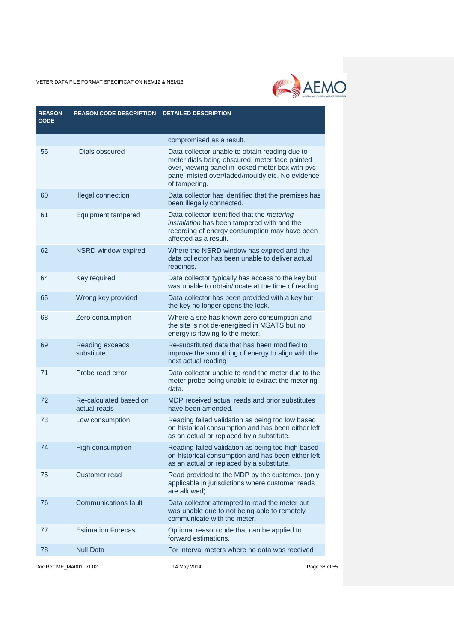

| <b>REASON</b><br><b>CODE</b> | <b>REASON CODE DESCRIPTION</b>         | <b>DETAILED DESCRIPTION</b>                                                                                                                                                                                              |
|------------------------------|----------------------------------------|--------------------------------------------------------------------------------------------------------------------------------------------------------------------------------------------------------------------------|
|                              |                                        | compromised as a result.                                                                                                                                                                                                 |
| 55                           | Dials obscured                         | Data collector unable to obtain reading due to<br>meter dials being obscured, meter face painted<br>over, viewing panel in locked meter box with pvc<br>panel misted over/faded/mouldy etc. No evidence<br>of tampering. |
| 60                           | Illegal connection                     | Data collector has identified that the premises has<br>been illegally connected.                                                                                                                                         |
| 61                           | Equipment tampered                     | Data collector identified that the metering<br>installation has been tampered with and the<br>recording of energy consumption may have been<br>affected as a result.                                                     |
| 62                           | NSRD window expired                    | Where the NSRD window has expired and the<br>data collector has been unable to deliver actual<br>readings.                                                                                                               |
| 64                           | Key required                           | Data collector typically has access to the key but<br>was unable to obtain/locate at the time of reading.                                                                                                                |
| 65                           | Wrong key provided                     | Data collector has been provided with a key but<br>the key no longer opens the lock.                                                                                                                                     |
| 68                           | Zero consumption                       | Where a site has known zero consumption and<br>the site is not de-energised in MSATS but no<br>energy is flowing to the meter.                                                                                           |
| 69                           | Reading exceeds<br>substitute          | Re-substituted data that has been modified to<br>improve the smoothing of energy to align with the<br>next actual reading                                                                                                |
| 71                           | Probe read error                       | Data collector unable to read the meter due to the<br>meter probe being unable to extract the metering<br>data.                                                                                                          |
| 72                           | Re-calculated based on<br>actual reads | MDP received actual reads and prior substitutes<br>have been amended.                                                                                                                                                    |
| 73                           | Low consumption                        | Reading failed validation as being too low based<br>on historical consumption and has been either left<br>as an actual or replaced by a substitute.                                                                      |
| 74                           | High consumption                       | Reading failed validation as being too high based<br>on historical consumption and has been either left<br>as an actual or replaced by a substitute.                                                                     |
| 75                           | Customer read                          | Read provided to the MDP by the customer. (only<br>applicable in jurisdictions where customer reads<br>are allowed).                                                                                                     |
| 76                           | <b>Communications fault</b>            | Data collector attempted to read the meter but<br>was unable due to not being able to remotely<br>communicate with the meter.                                                                                            |
| 77                           | <b>Estimation Forecast</b>             | Optional reason code that can be applied to<br>forward estimations.                                                                                                                                                      |
| 78                           | <b>Null Data</b>                       | For interval meters where no data was received                                                                                                                                                                           |

Doc Ref: ME\_MA001 v1.02 14 May 2014 Page 38 of 55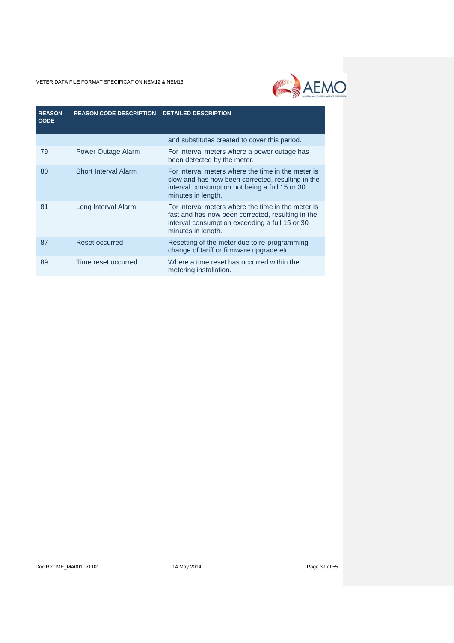

| <b>REASON</b><br><b>CODE</b> | <b>REASON CODE DESCRIPTION</b> | <b>DETAILED DESCRIPTION</b>                                                                                                                                                     |
|------------------------------|--------------------------------|---------------------------------------------------------------------------------------------------------------------------------------------------------------------------------|
|                              |                                | and substitutes created to cover this period.                                                                                                                                   |
| 79                           | Power Outage Alarm             | For interval meters where a power outage has<br>been detected by the meter.                                                                                                     |
| 80                           | <b>Short Interval Alarm</b>    | For interval meters where the time in the meter is<br>slow and has now been corrected, resulting in the<br>interval consumption not being a full 15 or 30<br>minutes in length. |
| 81                           | Long Interval Alarm            | For interval meters where the time in the meter is<br>fast and has now been corrected, resulting in the<br>interval consumption exceeding a full 15 or 30<br>minutes in length. |
| 87                           | Reset occurred                 | Resetting of the meter due to re-programming,<br>change of tariff or firmware upgrade etc.                                                                                      |
| 89                           | Time reset occurred            | Where a time reset has occurred within the<br>metering installation.                                                                                                            |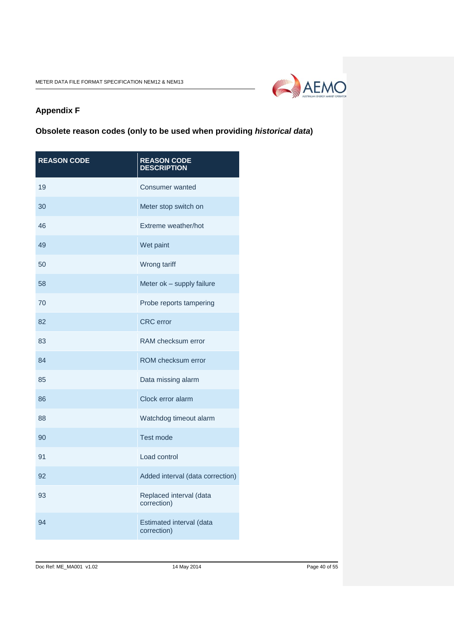

# <span id="page-39-0"></span>**Appendix F**

# <span id="page-39-1"></span>**Obsolete reason codes (only to be used when providing** *historical data***)**

| <b>REASON CODE</b> | <b>REASON CODE</b><br><b>DESCRIPTION</b> |
|--------------------|------------------------------------------|
| 19                 | Consumer wanted                          |
| 30                 | Meter stop switch on                     |
| 46                 | Extreme weather/hot                      |
| 49                 | Wet paint                                |
| 50                 | Wrong tariff                             |
| 58                 | Meter ok - supply failure                |
| 70                 | Probe reports tampering                  |
| 82                 | <b>CRC</b> error                         |
| 83                 | RAM checksum error                       |
| 84                 | ROM checksum error                       |
| 85                 | Data missing alarm                       |
| 86                 | Clock error alarm                        |
| 88                 | Watchdog timeout alarm                   |
| 90                 | <b>Test mode</b>                         |
| 91                 | Load control                             |
| 92                 | Added interval (data correction)         |
| 93                 | Replaced interval (data<br>correction)   |
| 94                 | Estimated interval (data<br>correction)  |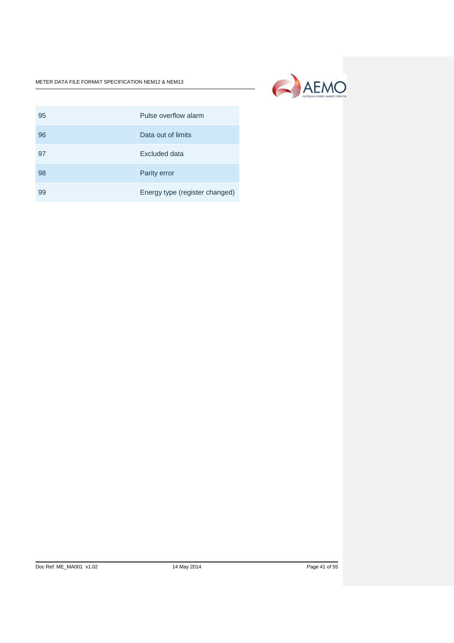

| 95 | Pulse overflow alarm           |
|----|--------------------------------|
| 96 | Data out of limits             |
| 97 | Excluded data                  |
| 98 | Parity error                   |
| 99 | Energy type (register changed) |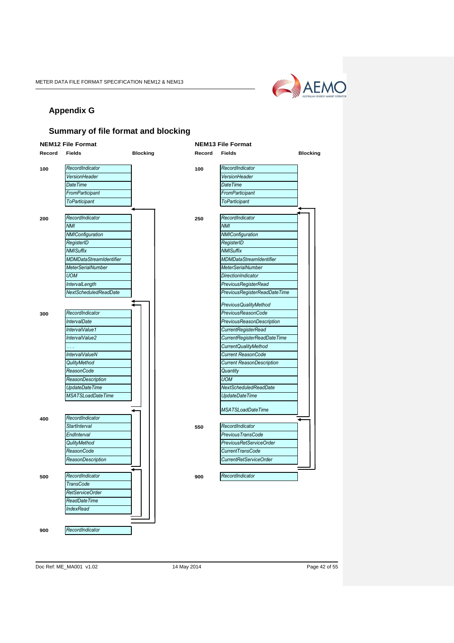

# <span id="page-41-0"></span>**Appendix G**

## <span id="page-41-1"></span>**Summary of file format and blocking**



Doc Ref: ME\_MA001 v1.02 14 May 2014 Page 42 of 55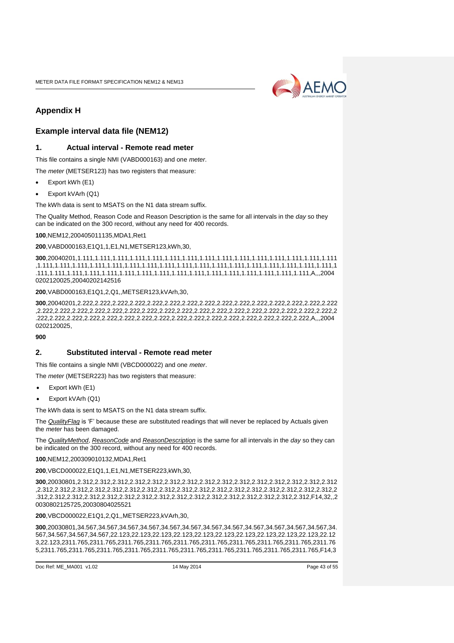

# <span id="page-42-0"></span>**Appendix H**

## <span id="page-42-1"></span>**Example interval data file (NEM12)**

#### **1. Actual interval - Remote read meter**

This file contains a single NMI (VABD000163) and one *meter*.

The *meter* (METSER123) has two registers that measure:

- Export kWh (E1)
- Export kVArh (Q1)

The kWh data is sent to MSATS on the N1 data stream suffix.

The Quality Method, Reason Code and Reason Description is the same for all intervals in the *day* so they can be indicated on the 300 record, without any need for 400 records.

**100**,NEM12,200405011135,MDA1,Ret1

**200**,VABD000163,E1Q1,1,E1,N1,METSER123,kWh,30,

**300**,20040201,1.111,1.111,1.111,1.111,1.111,1.111,1.111,1.111,1.111,1.111,1.111,1.111,1.111,1.111,1.111 ,1.111,1.111,1.111,1.111,1.111,1.111,1.111,1.111,1.111,1.111,1.111,1.111,1.111,1.111,1.111,1.111,1.111,1 .111,1.111,1.111,1.111,1.111,1.111,1.111,1.111,1.111,1.111,1.111,1.111,1.111,1.111,1.111,1.111,A,,,2004 0202120025,20040202142516

**200**,VABD000163,E1Q1,2,Q1,,METSER123,kVArh,30,

**300**,20040201,2.222,2.222,2.222,2.222,2.222,2.222,2.222,2.222,2.222,2.222,2.222,2.222,2.222,2.222,2.222 ,2.222,2.222,2.222,2.222,2.222,2.222,2.222,2.222,2.222,2.222,2.222,2.222,2.222,2.222,2.222,2.222,2.222,2 .222,2.222,2.222,2.222,2.222,2.222,2.222,2.222,2.222,2.222,2.222,2.222,2.222,2.222,2.222,2.222,A,,,2004 0202120025,

**900**

#### **2. Substituted interval - Remote read meter**

This file contains a single NMI (VBCD000022) and one *meter*.

The *meter* (METSER223) has two registers that measure:

- Export kWh (E1)
- Export kVArh (Q1)

The kWh data is sent to MSATS on the N1 data stream suffix.

The *QualityFlag* is 'F' because these are substituted readings that will never be replaced by Actuals given the *meter* has been damaged.

The *QualityMethod*, *ReasonCode* and *ReasonDescription* is the same for all intervals in the *day* so they can be indicated on the 300 record, without any need for 400 records.

**100**,NEM12,200309010132,MDA1,Ret1

**200**,VBCD000022,E1Q1,1,E1,N1,METSER223,kWh,30,

**300**,20030801,2.312,2.312,2.312,2.312,2.312,2.312,2.312,2.312,2.312,2.312,2.312,2.312,2.312,2.312,2.312 ,2.312,2.312,2.312,2.312,2.312,2.312,2.312,2.312,2.312,2.312,2.312,2.312,2.312,2.312,2.312,2.312,2.312,2 .312,2.312,2.312,2.312,2.312,2.312,2.312,2.312,2.312,2.312,2.312,2.312,2.312,2.312,2.312,2.312,F14,32,,2 0030802125725,20030804025521

**200**,VBCD000022,E1Q1,2,Q1,,METSER223,kVArh,30,

**300**,20030801,34.567,34.567,34.567,34.567,34.567,34.567,34.567,34.567,34.567,34.567,34.567,34.567,34. 567,34.567,34.567,34.567,22.123,22.123,22.123,22.123,22.123,22.123,22.123,22.123,22.123,22.123,22.12 3,22.123,2311.765,2311.765,2311.765,2311.765,2311.765,2311.765,2311.765,2311.765,2311.765,2311.76 5,2311.765,2311.765,2311.765,2311.765,2311.765,2311.765,2311.765,2311.765,2311.765,2311.765,F14,3

```
Doc Ref: ME_MA001 v1.02 14 May 2014 Page 43 of 55
```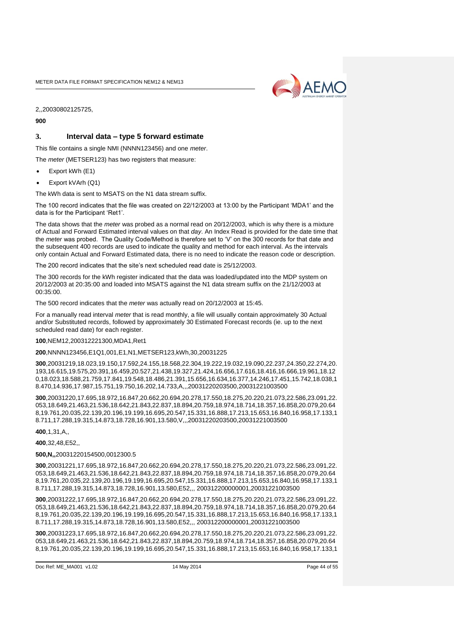

2,,20030802125725,

**900**

#### **3. Interval data – type 5 forward estimate**

This file contains a single NMI (NNNN123456) and one *meter*.

The *meter* (METSER123) has two registers that measure:

- Export kWh (E1)
- Export kVArh (Q1)

The kWh data is sent to MSATS on the N1 data stream suffix.

The 100 record indicates that the file was created on 22/12/2003 at 13:00 by the Participant 'MDA1' and the data is for the Participant 'Ret1'.

The data shows that the *meter* was probed as a normal read on 20/12/2003, which is why there is a mixture of Actual and Forward Estimated interval values on that *day*. An Index Read is provided for the date time that the *meter* was probed. The Quality Code/Method is therefore set to 'V' on the 300 records for that date and the subsequent 400 records are used to indicate the quality and method for each interval. As the intervals only contain Actual and Forward Estimated data, there is no need to indicate the reason code or description.

The 200 record indicates that the site's next scheduled read date is 25/12/2003.

The 300 records for the kWh register indicated that the data was loaded/updated into the MDP system on 20/12/2003 at 20:35:00 and loaded into MSATS against the N1 data stream suffix on the 21/12/2003 at 00:35:00.

The 500 record indicates that the *meter* was actually read on 20/12/2003 at 15:45.

For a manually read interval *meter* that is read monthly, a file will usually contain approximately 30 Actual and/or Substituted records, followed by approximately 30 Estimated Forecast records (ie. up to the next scheduled read date) for each register.

#### **100**,NEM12,200312221300,MDA1,Ret1

**200**,NNNN123456,E1Q1,001,E1,N1,METSER123,kWh,30,20031225

**300**,20031219,18.023,19.150,17.592,24.155,18.568,22.304,19.222,19.032,19.090,22.237,24.350,22.274,20. 193,16.615,19.575,20.391,16.459,20.527,21.438,19.327,21.424,16.656,17.616,18.416,16.666,19.961,18.12 0,18.023,18.588,21.759,17.841,19.548,18.486,21.391,15.656,16.634,16.377,14.246,17.451,15.742,18.038,1 8.470,14.936,17.987,15.751,19.750,16.202,14.733,A,,,20031220203500,20031221003500

**300**,20031220,17.695,18.972,16.847,20.662,20.694,20.278,17.550,18.275,20.220,21.073,22.586,23.091,22. 053,18.649,21.463,21.536,18.642,21.843,22.837,18.894,20.759,18.974,18.714,18.357,16.858,20.079,20.64 8,19.761,20.035,22.139,20.196,19.199,16.695,20.547,15.331,16.888,17.213,15.653,16.840,16.958,17.133,1 8.711,17.288,19.315,14.873,18.728,16.901,13.580,V,,,20031220203500,20031221003500

**400**,1,31,A,,

**400**,32,48,E52,,

#### **500,N,,**20031220154500,0012300.5

**300**,20031221,17.695,18.972,16.847,20.662,20.694,20.278,17.550,18.275,20.220,21.073,22.586,23.091,22. 053,18.649,21.463,21.536,18.642,21.843,22.837,18.894,20.759,18.974,18.714,18.357,16.858,20.079,20.64 8,19.761,20.035,22.139,20.196,19.199,16.695,20.547,15.331,16.888,17.213,15.653,16.840,16.958,17.133,1 8.711,17.288,19.315,14.873,18.728,16.901,13.580,E52,,, 200312200000001,20031221003500

**300**,20031222,17.695,18.972,16.847,20.662,20.694,20.278,17.550,18.275,20.220,21.073,22.586,23.091,22. 053,18.649,21.463,21.536,18.642,21.843,22.837,18.894,20.759,18.974,18.714,18.357,16.858,20.079,20.64 8,19.761,20.035,22.139,20.196,19.199,16.695,20.547,15.331,16.888,17.213,15.653,16.840,16.958,17.133,1 8.711,17.288,19.315,14.873,18.728,16.901,13.580,E52,,, 200312200000001,20031221003500

**300**,20031223,17.695,18.972,16.847,20.662,20.694,20.278,17.550,18.275,20.220,21.073,22.586,23.091,22. 053,18.649,21.463,21.536,18.642,21.843,22.837,18.894,20.759,18.974,18.714,18.357,16.858,20.079,20.64 8,19.761,20.035,22.139,20.196,19.199,16.695,20.547,15.331,16.888,17.213,15.653,16.840,16.958,17.133,1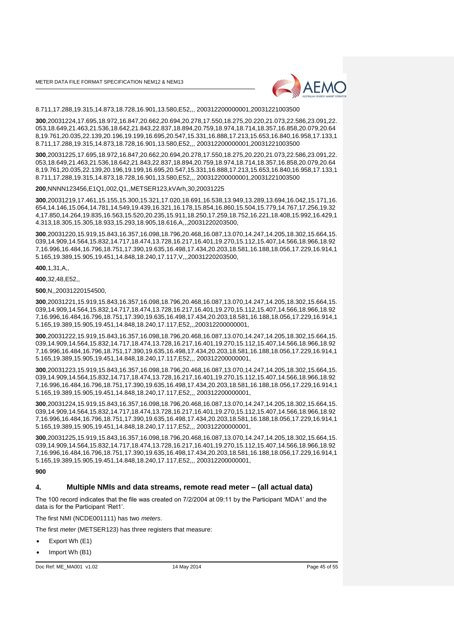

8.711,17.288,19.315,14.873,18.728,16.901,13.580,E52,,, 200312200000001,20031221003500

**300**,20031224,17.695,18.972,16.847,20.662,20.694,20.278,17.550,18.275,20.220,21.073,22.586,23.091,22. 053,18.649,21.463,21.536,18.642,21.843,22.837,18.894,20.759,18.974,18.714,18.357,16.858,20.079,20.64 8,19.761,20.035,22.139,20.196,19.199,16.695,20.547,15.331,16.888,17.213,15.653,16.840,16.958,17.133,1 8.711,17.288,19.315,14.873,18.728,16.901,13.580,E52,,, 200312200000001,20031221003500

**300**,20031225,17.695,18.972,16.847,20.662,20.694,20.278,17.550,18.275,20.220,21.073,22.586,23.091,22. 053,18.649,21.463,21.536,18.642,21.843,22.837,18.894,20.759,18.974,18.714,18.357,16.858,20.079,20.64 8,19.761,20.035,22.139,20.196,19.199,16.695,20.547,15.331,16.888,17.213,15.653,16.840,16.958,17.133,1 8.711,17.288,19.315,14.873,18.728,16.901,13.580,E52,,, 200312200000001,20031221003500

**200**,NNNN123456,E1Q1,002,Q1,,METSER123,kVArh,30,20031225

**300**,20031219,17.461,15.155,15.300,15.321,17.020,18.691,16.538,13.949,13.289,13.694,16.042,15.171,16. 654,14.146,15.064,14.781,14.549,19.439,16.321,16.178,15.854,16.860,15.504,15.779,14.767,17.256,19.32 4,17.850,14.264,19.835,16.563,15.520,20.235,15.911,18.250,17.259,18.752,16.221,18.408,15.992,16.429,1 4.313,18.305,15.305,18.933,15.293,18.905,18.616,A,,,20031220203500,

**300**,20031220,15.919,15.843,16.357,16.098,18.796,20.468,16.087,13.070,14.247,14.205,18.302,15.664,15. 039,14.909,14.564,15.832,14.717,18.474,13.728,16.217,16.401,19.270,15.112,15.407,14.566,18.966,18.92 7,16.996,16.484,16.796,18.751,17.390,19.635,16.498,17.434,20.203,18.581,16.188,18.056,17.229,16.914,1 5.165,19.389,15.905,19.451,14.848,18.240,17.117,V,,,20031220203500,

**400**,1,31,A,,

**400**,32,48,E52,,

**500**,N,,20031220154500,

**300**,20031221,15.919,15.843,16.357,16.098,18.796,20.468,16.087,13.070,14.247,14.205,18.302,15.664,15. 039,14.909,14.564,15.832,14.717,18.474,13.728,16.217,16.401,19.270,15.112,15.407,14.566,18.966,18.92 7,16.996,16.484,16.796,18.751,17.390,19.635,16.498,17.434,20.203,18.581,16.188,18.056,17.229,16.914,1 5.165,19.389,15.905,19.451,14.848,18.240,17.117,E52,,,200312200000001,

**300**,20031222,15.919,15.843,16.357,16.098,18.796,20.468,16.087,13.070,14.247,14.205,18.302,15.664,15. 039,14.909,14.564,15.832,14.717,18.474,13.728,16.217,16.401,19.270,15.112,15.407,14.566,18.966,18.92 7,16.996,16.484,16.796,18.751,17.390,19.635,16.498,17.434,20.203,18.581,16.188,18.056,17.229,16.914,1 5.165,19.389,15.905,19.451,14.848,18.240,17.117,E52,,, 200312200000001,

**300**,20031223,15.919,15.843,16.357,16.098,18.796,20.468,16.087,13.070,14.247,14.205,18.302,15.664,15. 039,14.909,14.564,15.832,14.717,18.474,13.728,16.217,16.401,19.270,15.112,15.407,14.566,18.966,18.92 7,16.996,16.484,16.796,18.751,17.390,19.635,16.498,17.434,20.203,18.581,16.188,18.056,17.229,16.914,1 5.165,19.389,15.905,19.451,14.848,18.240,17.117,E52,,, 200312200000001,

**300**,20031224,15.919,15.843,16.357,16.098,18.796,20.468,16.087,13.070,14.247,14.205,18.302,15.664,15. 039,14.909,14.564,15.832,14.717,18.474,13.728,16.217,16.401,19.270,15.112,15.407,14.566,18.966,18.92 7,16.996,16.484,16.796,18.751,17.390,19.635,16.498,17.434,20.203,18.581,16.188,18.056,17.229,16.914,1 5.165,19.389,15.905,19.451,14.848,18.240,17.117,E52,,, 200312200000001,

**300**,20031225,15.919,15.843,16.357,16.098,18.796,20.468,16.087,13.070,14.247,14.205,18.302,15.664,15. 039,14.909,14.564,15.832,14.717,18.474,13.728,16.217,16.401,19.270,15.112,15.407,14.566,18.966,18.92 7,16.996,16.484,16.796,18.751,17.390,19.635,16.498,17.434,20.203,18.581,16.188,18.056,17.229,16.914,1 5.165,19.389,15.905,19.451,14.848,18.240,17.117,E52,,, 200312200000001,

#### **900**

## **4. Multiple NMIs and data streams, remote read meter – (all actual data)**

The 100 record indicates that the file was created on 7/2/2004 at 09:11 by the Participant 'MDA1' and the data is for the Participant 'Ret1'.

The first NMI (NCDE001111) has two *meters*.

The first *meter* (METSER123) has three registers that measure:

- Export Wh (E1)
- Import Wh (B1)

Doc Ref: ME\_MA001 v1.02 14 May 2014 Page 45 of 55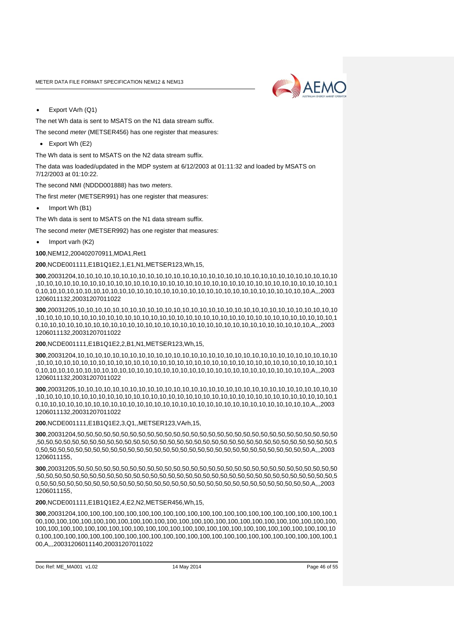

Export VArh (Q1)

The net Wh data is sent to MSATS on the N1 data stream suffix.

- The second *meter* (METSER456) has one register that measures:
- Export Wh (E2)

The Wh data is sent to MSATS on the N2 data stream suffix.

The data was loaded/updated in the MDP system at 6/12/2003 at 01:11:32 and loaded by MSATS on 7/12/2003 at 01:10:22.

The second NMI (NDDD001888) has two *meters*.

The first *meter* (METSER991) has one register that measures:

Import Wh (B1)

The Wh data is sent to MSATS on the N1 data stream suffix.

The second *meter* (METSER992) has one register that measures:

 $\bullet$  Import varh (K2)

**100**,NEM12,200402070911,MDA1,Ret1

**200**,NCDE001111,E1B1Q1E2,1,E1,N1,METSER123,Wh,15,

**300**,20031204,10,10,10,10,10,10,10,10,10,10,10,10,10,10,10,10,10,10,10,10,10,10,10,10,10,10,10,10,10,10 ,10,10,10,10,10,10,10,10,10,10,10,10,10,10,10,10,10,10,10,10,10,10,10,10,10,10,10,10,10,10,10,10,10,10,1 0,10,10,10,10,10,10,10,10,10,10,10,10,10,10,10,10,10,10,10,10,10,10,10,10,10,10,10,10,10,10,10,A,,,2003 1206011132,20031207011022

**300**,20031205,10,10,10,10,10,10,10,10,10,10,10,10,10,10,10,10,10,10,10,10,10,10,10,10,10,10,10,10,10,10 ,10,10,10,10,10,10,10,10,10,10,10,10,10,10,10,10,10,10,10,10,10,10,10,10,10,10,10,10,10,10,10,10,10,10,1 0,10,10,10,10,10,10,10,10,10,10,10,10,10,10,10,10,10,10,10,10,10,10,10,10,10,10,10,10,10,10,10,A,,,2003 1206011132,20031207011022

#### **200**,NCDE001111,E1B1Q1E2,2,B1,N1,METSER123,Wh,15,

**300**,20031204,10,10,10,10,10,10,10,10,10,10,10,10,10,10,10,10,10,10,10,10,10,10,10,10,10,10,10,10,10,10 ,10,10,10,10,10,10,10,10,10,10,10,10,10,10,10,10,10,10,10,10,10,10,10,10,10,10,10,10,10,10,10,10,10,10,1 0,10,10,10,10,10,10,10,10,10,10,10,10,10,10,10,10,10,10,10,10,10,10,10,10,10,10,10,10,10,10,10,A,,,2003 1206011132,20031207011022

**300**,20031205,10,10,10,10,10,10,10,10,10,10,10,10,10,10,10,10,10,10,10,10,10,10,10,10,10,10,10,10,10,10 ,10,10,10,10,10,10,10,10,10,10,10,10,10,10,10,10,10,10,10,10,10,10,10,10,10,10,10,10,10,10,10,10,10,10,1 0,10,10,10,10,10,10,10,10,10,10,10,10,10,10,10,10,10,10,10,10,10,10,10,10,10,10,10,10,10,10,10,A,,,2003 1206011132,20031207011022

**200**,NCDE001111,E1B1Q1E2,3,Q1,,METSER123,VArh,15,

**300**,20031204,50,50,50,50,50,50,50,50,50,50,50,50,50,50,50,50,50,50,50,50,50,50,50,50,50,50,50,50,50,50 ,50,50,50,50,50,50,50,50,50,50,50,50,50,50,50,50,50,50,50,50,50,50,50,50,50,50,50,50,50,50,50,50,50,50,5 0,50,50,50,50,50,50,50,50,50,50,50,50,50,50,50,50,50,50,50,50,50,50,50,50,50,50,50,50,50,50,50,A,,,2003 1206011155,

**300**,20031205,50,50,50,50,50,50,50,50,50,50,50,50,50,50,50,50,50,50,50,50,50,50,50,50,50,50,50,50,50,50 ,50,50,50,50,50,50,50,50,50,50,50,50,50,50,50,50,50,50,50,50,50,50,50,50,50,50,50,50,50,50,50,50,50,50,5 0,50,50,50,50,50,50,50,50,50,50,50,50,50,50,50,50,50,50,50,50,50,50,50,50,50,50,50,50,50,50,50,A,,,2003 1206011155,

#### **200**,NCDE001111,E1B1Q1E2,4,E2,N2,METSER456,Wh,15,

**300**,20031204,100,100,100,100,100,100,100,100,100,100,100,100,100,100,100,100,100,100,100,100,100,1 00,100,100,100,100,100,100,100,100,100,100,100,100,100,100,100,100,100,100,100,100,100,100,100,100, 100,100,100,100,100,100,100,100,100,100,100,100,100,100,100,100,100,100,100,100,100,100,100,100,10 0,100,100,100,100,100,100,100,100,100,100,100,100,100,100,100,100,100,100,100,100,100,100,100,100,1 00,A,,,20031206011140,20031207011022

```
Doc Ref: ME_MA001 v1.02 14 May 2014 Page 46 of 55
```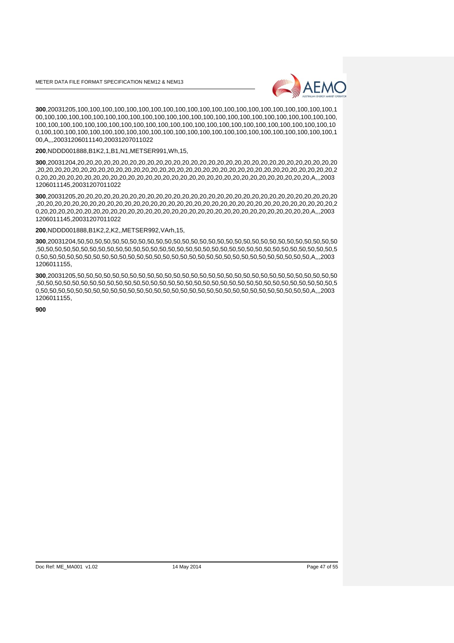

**300**,20031205,100,100,100,100,100,100,100,100,100,100,100,100,100,100,100,100,100,100,100,100,100,1 00,100,100,100,100,100,100,100,100,100,100,100,100,100,100,100,100,100,100,100,100,100,100,100,100, 100,100,100,100,100,100,100,100,100,100,100,100,100,100,100,100,100,100,100,100,100,100,100,100,10 0,100,100,100,100,100,100,100,100,100,100,100,100,100,100,100,100,100,100,100,100,100,100,100,100,1 00,A,,,20031206011140,20031207011022

**200**,NDDD001888,B1K2,1,B1,N1,METSER991,Wh,15,

**300**,20031204,20,20,20,20,20,20,20,20,20,20,20,20,20,20,20,20,20,20,20,20,20,20,20,20,20,20,20,20,20,20 ,20,20,20,20,20,20,20,20,20,20,20,20,20,20,20,20,20,20,20,20,20,20,20,20,20,20,20,20,20,20,20,20,20,20,2 0,20,20,20,20,20,20,20,20,20,20,20,20,20,20,20,20,20,20,20,20,20,20,20,20,20,20,20,20,20,20,20,A,,,2003 1206011145,20031207011022

**300**,20031205,20,20,20,20,20,20,20,20,20,20,20,20,20,20,20,20,20,20,20,20,20,20,20,20,20,20,20,20,20,20 ,20,20,20,20,20,20,20,20,20,20,20,20,20,20,20,20,20,20,20,20,20,20,20,20,20,20,20,20,20,20,20,20,20,20,2 0,20,20,20,20,20,20,20,20,20,20,20,20,20,20,20,20,20,20,20,20,20,20,20,20,20,20,20,20,20,20,20,A,,,2003 1206011145,20031207011022

#### **200**,NDDD001888,B1K2,2,K2,,METSER992,VArh,15,

**300**,20031204,50,50,50,50,50,50,50,50,50,50,50,50,50,50,50,50,50,50,50,50,50,50,50,50,50,50,50,50,50,50 ,50,50,50,50,50,50,50,50,50,50,50,50,50,50,50,50,50,50,50,50,50,50,50,50,50,50,50,50,50,50,50,50,50,50,5 0,50,50,50,50,50,50,50,50,50,50,50,50,50,50,50,50,50,50,50,50,50,50,50,50,50,50,50,50,50,50,50,A,,,2003 1206011155,

**300**,20031205,50,50,50,50,50,50,50,50,50,50,50,50,50,50,50,50,50,50,50,50,50,50,50,50,50,50,50,50,50,50 ,50,50,50,50,50,50,50,50,50,50,50,50,50,50,50,50,50,50,50,50,50,50,50,50,50,50,50,50,50,50,50,50,50,50,5 0,50,50,50,50,50,50,50,50,50,50,50,50,50,50,50,50,50,50,50,50,50,50,50,50,50,50,50,50,50,50,50,A,,,2003 1206011155,

**900**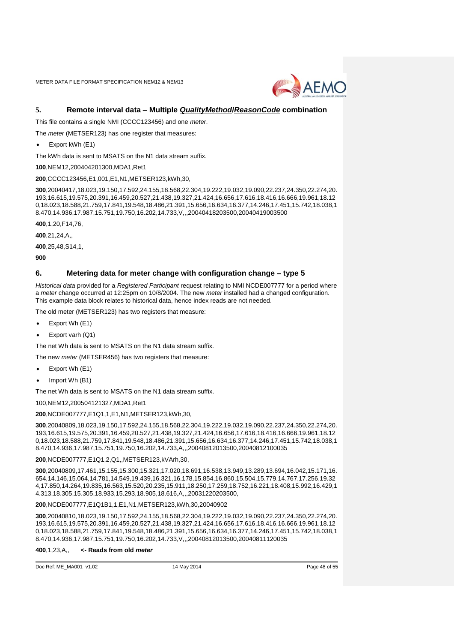

### **5. Remote interval data – Multiple** *QualityMethod***/***ReasonCode* **combination**

This file contains a single NMI (CCCC123456) and one *meter*.

The *meter* (METSER123) has one register that measures:

Export kWh (E1)

The kWh data is sent to MSATS on the N1 data stream suffix.

**100**,NEM12,200404201300,MDA1,Ret1

**200**,CCCC123456,E1,001,E1,N1,METSER123,kWh,30,

**300**,20040417,18.023,19.150,17.592,24.155,18.568,22.304,19.222,19.032,19.090,22.237,24.350,22.274,20. 193,16.615,19.575,20.391,16.459,20.527,21.438,19.327,21.424,16.656,17.616,18.416,16.666,19.961,18.12 0,18.023,18.588,21.759,17.841,19.548,18.486,21.391,15.656,16.634,16.377,14.246,17.451,15.742,18.038,1 8.470,14.936,17.987,15.751,19.750,16.202,14.733,V,,,20040418203500,20040419003500

**400**,1,20,F14,76,

**400**,21,24,A,,

**400**,25,48,S14,1,

**900**

#### **6. Metering data for meter change with configuration change – type 5**

*Historical data* provided for a *Registered Participant* request relating to NMI NCDE007777 for a period where a *meter* change occurred at 12:25pm on 10/8/2004. The new *meter* installed had a changed configuration. This example data block relates to historical data, hence index reads are not needed.

The old meter (METSER123) has two registers that measure:

- Export Wh (E1)
- Export varh (Q1)

The net Wh data is sent to MSATS on the N1 data stream suffix.

The new *meter* (METSER456) has two registers that measure:

- Export Wh (E1)
- Import Wh (B1)

The net Wh data is sent to MSATS on the N1 data stream suffix.

100,NEM12,200504121327,MDA1,Ret1

**200**,NCDE007777,E1Q1,1,E1,N1,METSER123,kWh,30,

**300**,20040809,18.023,19.150,17.592,24.155,18.568,22.304,19.222,19.032,19.090,22.237,24.350,22.274,20. 193,16.615,19.575,20.391,16.459,20.527,21.438,19.327,21.424,16.656,17.616,18.416,16.666,19.961,18.12 0,18.023,18.588,21.759,17.841,19.548,18.486,21.391,15.656,16.634,16.377,14.246,17.451,15.742,18.038,1 8.470,14.936,17.987,15.751,19.750,16.202,14.733,A,,,20040812013500,20040812100035

**200**,NCDE007777,E1Q1,2,Q1,,METSER123,kVArh,30,

**300**,20040809,17.461,15.155,15.300,15.321,17.020,18.691,16.538,13.949,13.289,13.694,16.042,15.171,16. 654,14.146,15.064,14.781,14.549,19.439,16.321,16.178,15.854,16.860,15.504,15.779,14.767,17.256,19.32 4,17.850,14.264,19.835,16.563,15.520,20.235,15.911,18.250,17.259,18.752,16.221,18.408,15.992,16.429,1 4.313,18.305,15.305,18.933,15.293,18.905,18.616,A,,,20031220203500,

#### **200**,NCDE007777,E1Q1B1,1,E1,N1,METSER123,kWh,30,20040902

**300**,20040810,18.023,19.150,17.592,24.155,18.568,22.304,19.222,19.032,19.090,22.237,24.350,22.274,20. 193,16.615,19.575,20.391,16.459,20.527,21.438,19.327,21.424,16.656,17.616,18.416,16.666,19.961,18.12 0,18.023,18.588,21.759,17.841,19.548,18.486,21.391,15.656,16.634,16.377,14.246,17.451,15.742,18.038,1 8.470,14.936,17.987,15.751,19.750,16.202,14.733,V,,,20040812013500,20040811120035

#### **400**,1,23,A,, **<- Reads from old** *meter*

```
Doc Ref: ME_MA001 v1.02 14 May 2014 Page 48 of 55
```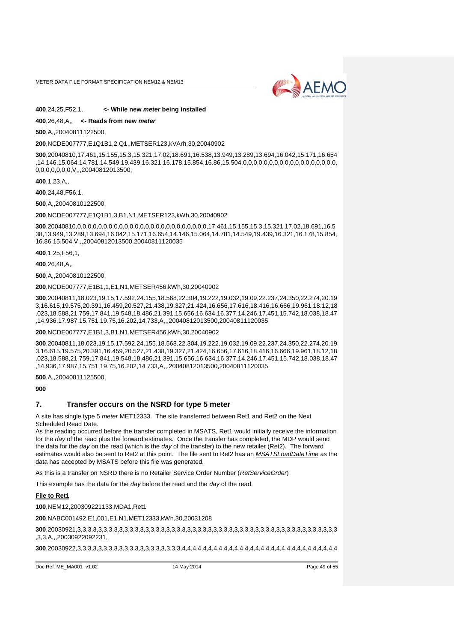

#### **400**,24,25,F52,1, **<- While new** *meter* **being installed**

#### **400**,26,48,A,, **<- Reads from new** *meter*

**500**,A,,20040811122500,

#### **200**,NCDE007777,E1Q1B1,2,Q1,,METSER123,kVArh,30,20040902

**300**,20040810,17.461,15.155,15.3,15.321,17.02,18.691,16.538,13.949,13.289,13.694,16.042,15.171,16.654 ,14.146,15.064,14.781,14.549,19.439,16.321,16.178,15.854,16.86,15.504,0,0,0,0,0,0,0,0,0,0,0,0,0,0,0,0,0,0, 0,0,0,0,0,0,0,V,,,20040812013500,

**400**,1,23,A,,

**400**,24,48,F56,1,

**500**,A,,20040810122500,

**200**,NCDE007777,E1Q1B1,3,B1,N1,METSER123,kWh,30,20040902

**300**,20040810,0,0,0,0,0,0,0,0,0,0,0,0,0,0,0,0,0,0,0,0,0,0,0,0,0,17.461,15.155,15.3,15.321,17.02,18.691,16.5 38,13.949,13.289,13.694,16.042,15.171,16.654,14.146,15.064,14.781,14.549,19.439,16.321,16.178,15.854, 16.86,15.504,V,,,20040812013500,20040811120035

**400**,1,25,F56,1,

**400**,26,48,A,,

**500**,A,,20040810122500,

**200**,NCDE007777,E1B1,1,E1,N1,METSER456,kWh,30,20040902

**300**,20040811,18.023,19.15,17.592,24.155,18.568,22.304,19.222,19.032,19.09,22.237,24.350,22.274,20.19 3,16.615,19.575,20.391,16.459,20.527,21.438,19.327,21.424,16.656,17.616,18.416,16.666,19.961,18.12,18 .023,18.588,21.759,17.841,19.548,18.486,21.391,15.656,16.634,16.377,14.246,17.451,15.742,18.038,18.47 ,14.936,17.987,15.751,19.75,16.202,14.733,A,,,20040812013500,20040811120035

#### **200**,NCDE007777,E1B1,3,B1,N1,METSER456,kWh,30,20040902

**300**,20040811,18.023,19.15,17.592,24.155,18.568,22.304,19.222,19.032,19.09,22.237,24.350,22.274,20.19 3,16.615,19.575,20.391,16.459,20.527,21.438,19.327,21.424,16.656,17.616,18.416,16.666,19.961,18.12,18 .023,18.588,21.759,17.841,19.548,18.486,21.391,15.656,16.634,16.377,14.246,17.451,15.742,18.038,18.47 ,14.936,17.987,15.751,19.75,16.202,14.733,A,,,20040812013500,20040811120035

**500**,A,,20040811125500,

**900**

#### **7. Transfer occurs on the NSRD for type 5 meter**

A site has single type 5 *meter* MET12333. The site transferred between Ret1 and Ret2 on the Next Scheduled Read Date.

As the reading occurred before the transfer completed in MSATS, Ret1 would initially receive the information for the *day* of the read plus the forward estimates. Once the transfer has completed, the MDP would send the data for the *day* on the read (which is the *day* of the transfer) to the new retailer (Ret2). The forward estimates would also be sent to Ret2 at this point. The file sent to Ret2 has an *MSATSLoadDateTime* as the data has accepted by MSATS before this file was generated.

As this is a transfer on NSRD there is no Retailer Service Order Number (*RetServiceOrder*)

This example has the data for the *day* before the read and the *day* of the read.

#### **File to Ret1**

**100**,NEM12,200309221133,MDA1,Ret1

**200**,NABC001492,E1,001,E1,N1,MET12333,kWh,30,20031208

**300**,20030921,3,3,3,3,3,3,3,3,3,3,3,3,3,3,3,3,3,3,3,3,3,3,3,3,3,3,3,3,3,3,3,3,3,3,3,3,3,3,3,3,3,3,3,3,3,3,3,3,3,3 ,3,3,A,,,20030922092231,

**300**,20030922,3,3,3,3,3,3,3,3,3,3,3,3,3,3,3,3,3,3,3,3,4,4,4,4,4,4,4,4,4,4,4,4,4,4,4,4,4,4,4,4,4,4,4,4,4,4,4,4,4,4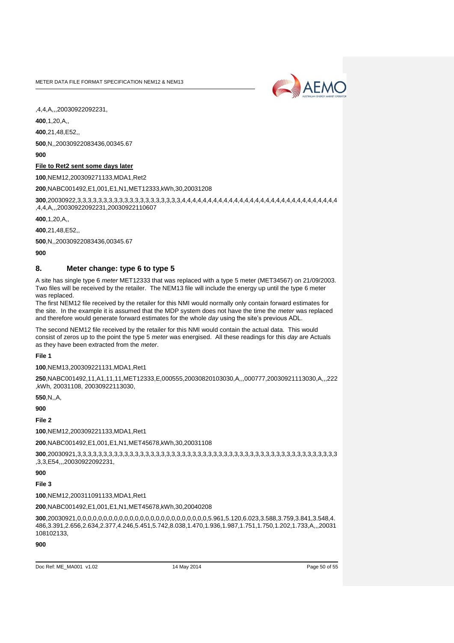

,4,4,A,,,20030922092231,

**400**,1,20,A,,

**400**,21,48,E52,,

**500**,N,,20030922083436,00345.67

**900**

#### **File to Ret2 sent some days later**

**100**,NEM12,200309271133,MDA1,Ret2

**200**,NABC001492,E1,001,E1,N1,MET12333,kWh,30,20031208

**300**,20030922,3,3,3,3,3,3,3,3,3,3,3,3,3,3,3,3,3,3,3,3,4,4,4,4,4,4,4,4,4,4,4,4,4,4,4,4,4,4,4,4,4,4,4,4,4,4,4,4,4,4 ,4,4,A,,,20030922092231,20030922110607

**400**,1,20,A,,

**400**,21,48,E52,,

**500**,N,,20030922083436,00345.67

**900**

#### **8. Meter change: type 6 to type 5**

A site has single type 6 *meter* MET12333 that was replaced with a type 5 meter (MET34567) on 21/09/2003. Two files will be received by the retailer. The NEM13 file will include the energy up until the type 6 meter was replaced.

The first NEM12 file received by the retailer for this NMI would normally only contain forward estimates for the site. In the example it is assumed that the MDP system does not have the time the *meter* was replaced and therefore would generate forward estimates for the whole *day* using the site's previous ADL.

The second NEM12 file received by the retailer for this NMI would contain the actual data. This would consist of zeros up to the point the type 5 *meter* was energised. All these readings for this *day* are Actuals as they have been extracted from the *meter*.

**File 1**

**100**,NEM13,200309221131,MDA1,Ret1

**250**,NABC001492,11,A1,11,11,MET12333,E,000555,20030820103030,A,,,000777,20030921113030,A,,,222 ,kWh, 20031108, 20030922113030,

**550**,N,,A,

**900**

**File 2**

**100**,NEM12,200309221133,MDA1,Ret1

**200**,NABC001492,E1,001,E1,N1,MET45678,kWh,30,20031108

**300**,20030921,3,3,3,3,3,3,3,3,3,3,3,3,3,3,3,3,3,3,3,3,3,3,3,3,3,3,3,3,3,3,3,3,3,3,3,3,3,3,3,3,3,3,3,3,3,3,3,3,3,3 ,3,3,E54,,,20030922092231,

**900**

**File 3**

**100**,NEM12,200311091133,MDA1,Ret1

**200**,NABC001492,E1,001,E1,N1,MET45678,kWh,30,20040208

**300**,20030921,0,0,0,0,0,0,0,0,0,0,0,0,0,0,0,0,0,0,0,0,0,0,0,0,0,5.961,5.120,6.023,3.588,3.759,3.841,3.548,4. 486,3.391,2.656,2.634,2.377,4.246,5.451,5.742,8.038,1.470,1.936,1.987,1.751,1.750,1.202,1.733,A,,,20031 108102133,

**900**

```
Doc Ref: ME_MA001 v1.02 14 May 2014 Page 50 of 55
```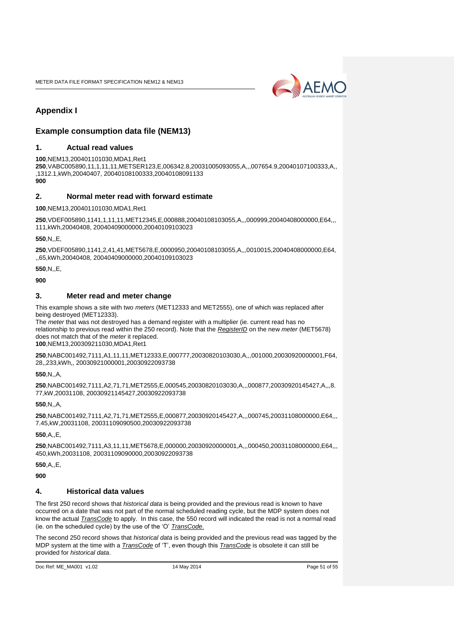

# <span id="page-50-0"></span>**Appendix I**

## <span id="page-50-1"></span>**Example consumption data file (NEM13)**

#### **1. Actual read values**

**100**,NEM13,200401101030,MDA1,Ret1 **250**,VABC005890,11,1,11,11,METSER123,E,006342.8,20031005093055,A,,,007654.9,20040107100333,A,, ,1312.1,kWh,20040407, 20040108100333,20040108091133 **900**

## **2. Normal meter read with forward estimate**

**100**,NEM13,200401101030,MDA1,Ret1

**250**,VDEF005890,1141,1,11,11,MET12345,E,000888,20040108103055,A,,,000999,20040408000000,E64,,, 111,kWh,20040408, 20040409000000,20040109103023

**550** N F

**250**,VDEF005890,1141,2,41,41,MET5678,E,0000950,20040108103055,A,,,0010015,20040408000000,E64, ,,65,kWh,20040408, 20040409000000,20040109103023

**550**,N,,E,

**900**

#### **3. Meter read and meter change**

This example shows a site with two *meters* (MET12333 and MET2555), one of which was replaced after being destroyed (MET12333).

The *meter* that was not destroyed has a demand register with a multiplier (ie. current read has no relationship to previous read within the 250 record). Note that the *RegisterID* on the new *meter* (MET5678) does not match that of the *meter* it replaced.

**100**,NEM13,200309211030,MDA1,Ret1

**250**,NABC001492,7111,A1,11,11,MET12333,E,000777,20030820103030,A,,,001000,20030920000001,F64, 28,,233,kWh,, 20030921000001,20030922093738

**550**,N,,A,

**250**,NABC001492,7111,A2,71,71,MET2555,E,000545,20030820103030,A,,,000877,20030920145427,A,,,8. 77,kW,20031108, 20030921145427,20030922093738

**550**,N,,A,

**250**,NABC001492,7111,A2,71,71,MET2555,E,000877,20030920145427,A,,,000745,20031108000000,E64,,, 7.45,kW,20031108, 20031109090500,20030922093738

**550**,A,,E,

**250**,NABC001492,7111,A3,11,11,MET5678,E,000000,20030920000001,A,,,000450,20031108000000,E64,,, 450,kWh,20031108, 20031109090000,20030922093738

**550**,A,,E,

**900**

#### **4. Historical data values**

The first 250 record shows that *historical data* is being provided and the previous read is known to have occurred on a date that was not part of the normal scheduled reading cycle, but the MDP system does not know the actual *TransCode* to apply. In this case, the 550 record will indicated the read is not a normal read (ie. on the scheduled cycle) by the use of the 'O' *TransCode*.

The second 250 record shows that *historical data* is being provided and the previous read was tagged by the MDP system at the time with a *TransCode* of 'T', even though this *TransCode* is obsolete it can still be provided for *historical data*.

Doc Ref: ME\_MA001 v1.02 14 May 2014 Page 51 of 55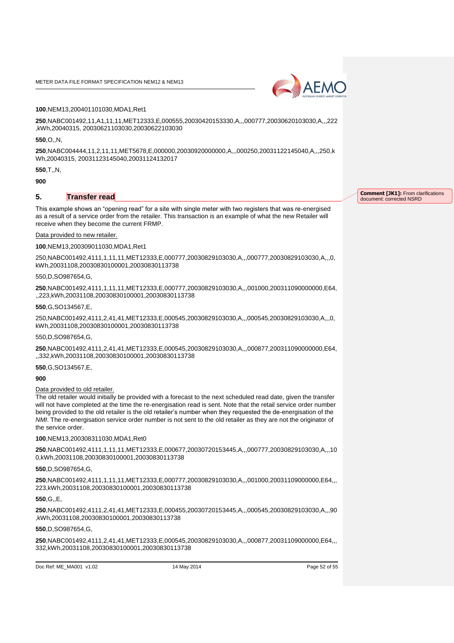

#### **100**,NEM13,200401101030,MDA1,Ret1

**250**,NABC001492,11,A1,11,11,MET12333,E,000555,20030420153330,A,,,000777,20030620103030,A,,,222 ,kWh,20040315, 20030621103030,20030622103030

**550**,O,,N,

**250**,NABC004444,11,2,11,11,MET5678,E,000000,20030920000000,A,,,000250,20031122145040,A,,,250,k Wh,20040315, 20031123145040,20031124132017

#### **550**,T,,N,

**900**

## **5. Transfer read**

This example shows an "opening read" for a site with single meter with two registers that was re-energised as a result of a service order from the retailer. This transaction is an example of what the new Retailer will receive when they become the current FRMP.

#### Data provided to new retailer.

#### **100**,NEM13,200309011030,MDA1,Ret1

250,NABC001492,4111,1,11,11,MET12333,E,000777,20030829103030,A,,,000777,20030829103030,A,,,0, kWh,20031108,20030830100001,20030830113738

#### 550,D,SO987654,G,

**250**,NABC001492,4111,1,11,11,MET12333,E,000777,20030829103030,A,,,001000,200311090000000,E64, ,,223,kWh,20031108,20030830100001,20030830113738

#### **550**,G,SO134567,E,

250,NABC001492,4111,2,41,41,MET12333,E,000545,20030829103030,A,,,000545,20030829103030,A,,,0, kWh,20031108,20030830100001,20030830113738

#### 550,D,SO987654,G,

**250**,NABC001492,4111,2,41,41,MET12333,E,000545,20030829103030,A,,,000877,200311090000000,E64, ,,332,kWh,20031108,20030830100001,20030830113738

**550**,G,SO134567,E,

#### **900**

#### Data provided to old retailer.

The old retailer would initially be provided with a forecast to the next scheduled read date, given the transfer will not have completed at the time the re-energisation read is sent. Note that the retail service order number being provided to the old retailer is the old retailer's number when they requested the de-energisation of the *NMI*. The re-energisation service order number is not sent to the old retailer as they are not the originator of the service order.

**100**,NEM13,200308311030,MDA1,Ret0

**250**,NABC001492,4111,1,11,11,MET12333,E,000677,20030720153445,A,,,000777,20030829103030,A,,,10 0,kWh,20031108,20030830100001,20030830113738

#### **550**,D,SO987654,G,

**250**,NABC001492,4111,1,11,11,MET12333,E,000777,20030829103030,A,,,001000,20031109000000,E64,,, 223,kWh,20031108,20030830100001,20030830113738

#### **550**,G,,E,

**250**,NABC001492,4111,2,41,41,MET12333,E,000455,20030720153445,A,,,000545,20030829103030,A,,,90 ,kWh,20031108,20030830100001,20030830113738

#### **550**,D,SO987654,G,

**250**,NABC001492,4111,2,41,41,MET12333,E,000545,20030829103030,A,,,000877,20031109000000,E64,,, 332,kWh,20031108,20030830100001,20030830113738

Doc Ref: ME\_MA001\_v1.02 14 May 2014 14 May 2014 Page 52 of 55

**Comment [JK1]:** From clarifications document: corrected NSRD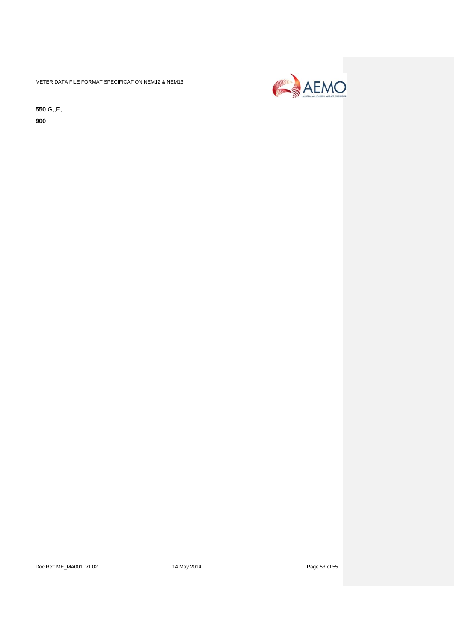

**550**,G,,E,

**900**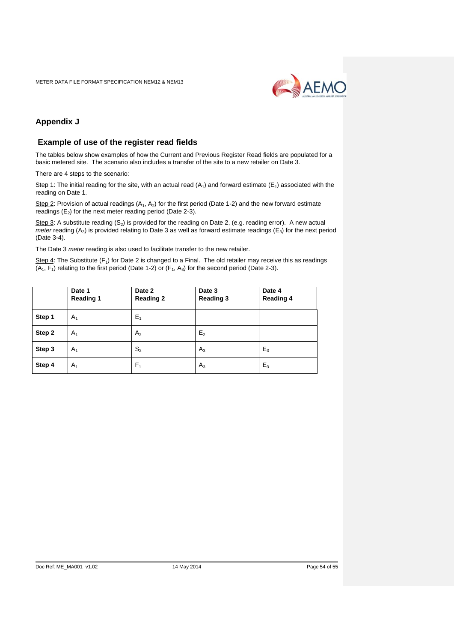

## <span id="page-53-0"></span>**Appendix J**

## <span id="page-53-1"></span>**Example of use of the register read fields**

The tables below show examples of how the Current and Previous Register Read fields are populated for a basic metered site. The scenario also includes a transfer of the site to a new retailer on Date 3.

There are 4 steps to the scenario:

Step 1: The initial reading for the site, with an actual read  $(A_1)$  and forward estimate (E<sub>1</sub>) associated with the reading on Date 1.

Step 2: Provision of actual readings  $(A_1, A_2)$  for the first period (Date 1-2) and the new forward estimate readings  $(E_2)$  for the next meter reading period (Date 2-3).

Step 3: A substitute reading  $(S_2)$  is provided for the reading on Date 2, (e.g. reading error). A new actual *meter* reading (A<sub>3</sub>) is provided relating to Date 3 as well as forward estimate readings (E<sub>3</sub>) for the next period (Date 3-4).

The Date 3 *meter* reading is also used to facilitate transfer to the new retailer.

Step 4: The Substitute (F<sub>1</sub>) for Date 2 is changed to a Final. The old retailer may receive this as readings  $(A_1, F_1)$  relating to the first period (Date 1-2) or  $(F_1, A_3)$  for the second period (Date 2-3).

|        | Date 1<br><b>Reading 1</b> | Date 2<br><b>Reading 2</b> | Date 3<br><b>Reading 3</b> | Date 4<br><b>Reading 4</b> |
|--------|----------------------------|----------------------------|----------------------------|----------------------------|
| Step 1 | $A_1$                      | $E_1$                      |                            |                            |
| Step 2 | A <sub>1</sub>             | A <sub>2</sub>             | E <sub>2</sub>             |                            |
| Step 3 | $A_1$                      | S <sub>2</sub>             | $A_3$                      | $E_3$                      |
| Step 4 | $A_1$                      | F <sub>1</sub>             | $A_3$                      | $E_3$                      |